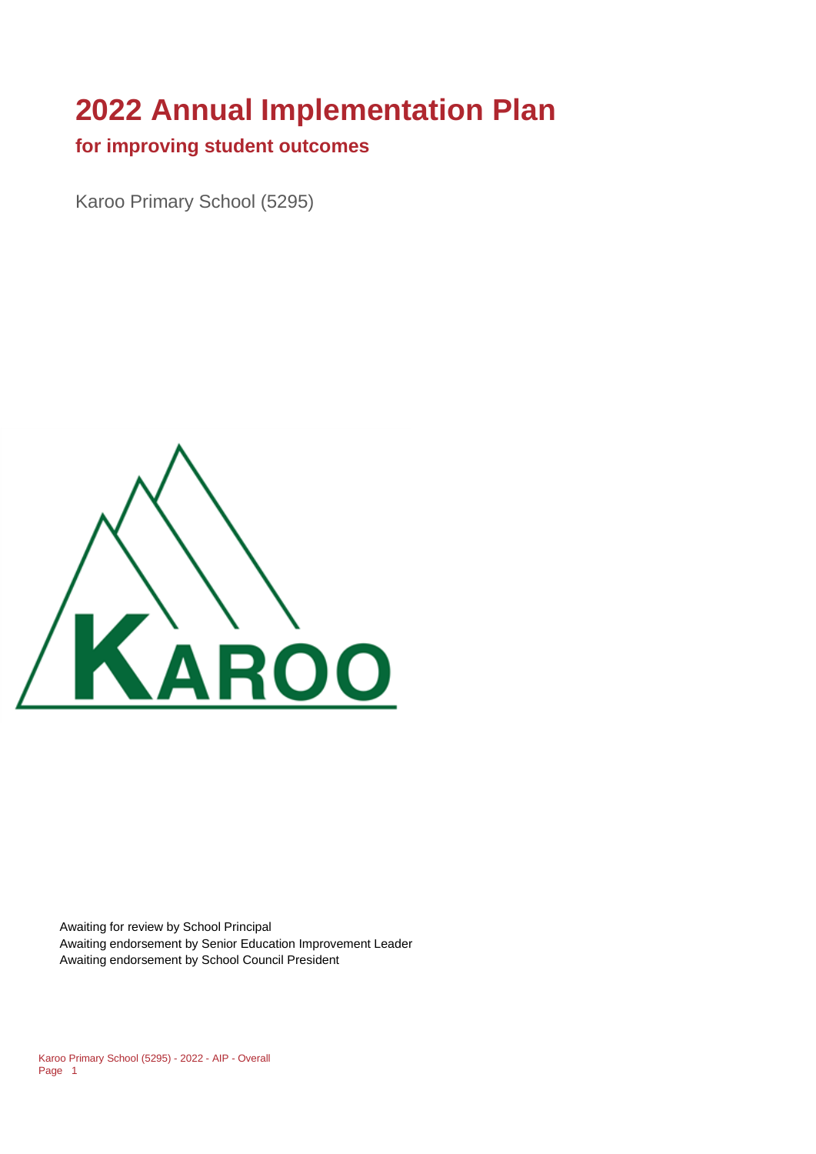# **2022 Annual Implementation Plan**

### **for improving student outcomes**

Karoo Primary School (5295)



Awaiting for review by School Principal Awaiting endorsement by Senior Education Improvement Leader Awaiting endorsement by School Council President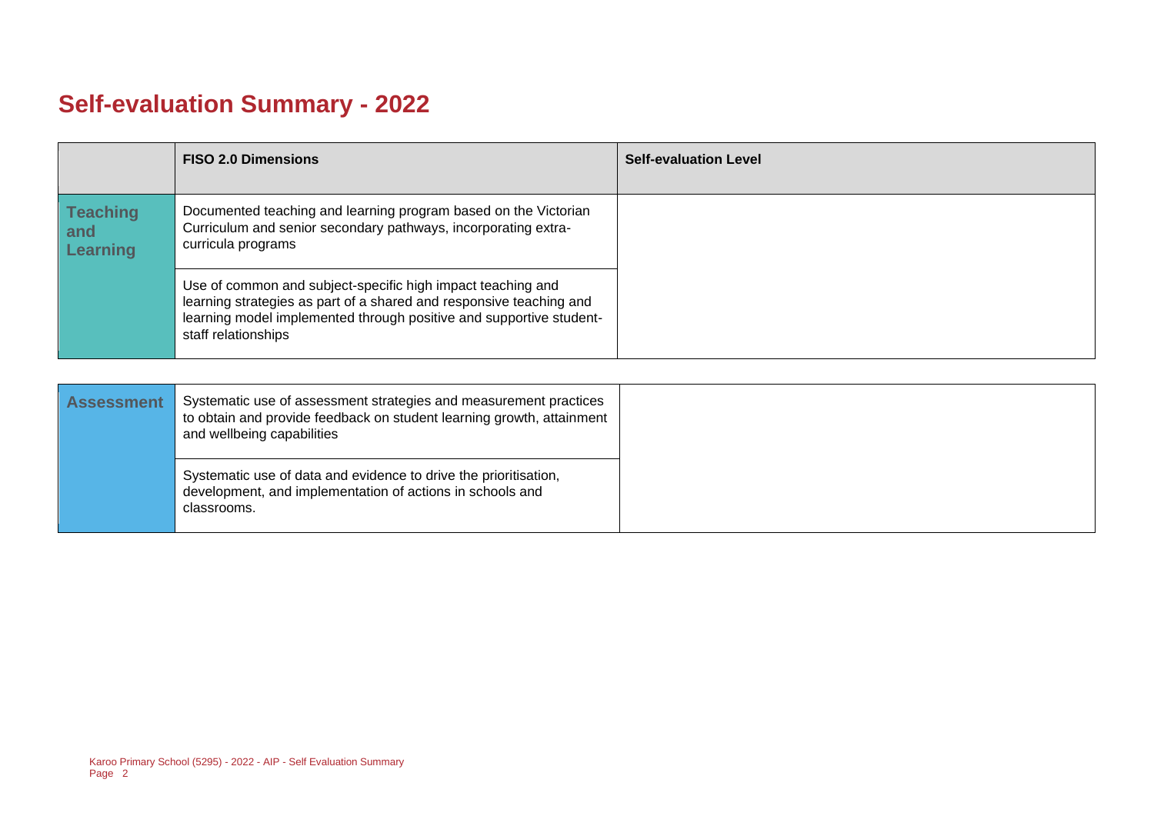# **Self-evaluation Summary - 2022**

|                                           | <b>FISO 2.0 Dimensions</b>                                                                                                                                                                                                       | <b>Self-evaluation Level</b> |
|-------------------------------------------|----------------------------------------------------------------------------------------------------------------------------------------------------------------------------------------------------------------------------------|------------------------------|
| <b>Teaching</b><br>and<br><b>Learning</b> | Documented teaching and learning program based on the Victorian<br>Curriculum and senior secondary pathways, incorporating extra-<br>curricula programs                                                                          |                              |
|                                           | Use of common and subject-specific high impact teaching and<br>learning strategies as part of a shared and responsive teaching and<br>learning model implemented through positive and supportive student-<br>staff relationships |                              |

| Systematic use of assessment strategies and measurement practices<br><b>Assessment</b><br>to obtain and provide feedback on student learning growth, attainment<br>and wellbeing capabilities |                                                                                                                                              |
|-----------------------------------------------------------------------------------------------------------------------------------------------------------------------------------------------|----------------------------------------------------------------------------------------------------------------------------------------------|
|                                                                                                                                                                                               | Systematic use of data and evidence to drive the prioritisation,<br>development, and implementation of actions in schools and<br>classrooms. |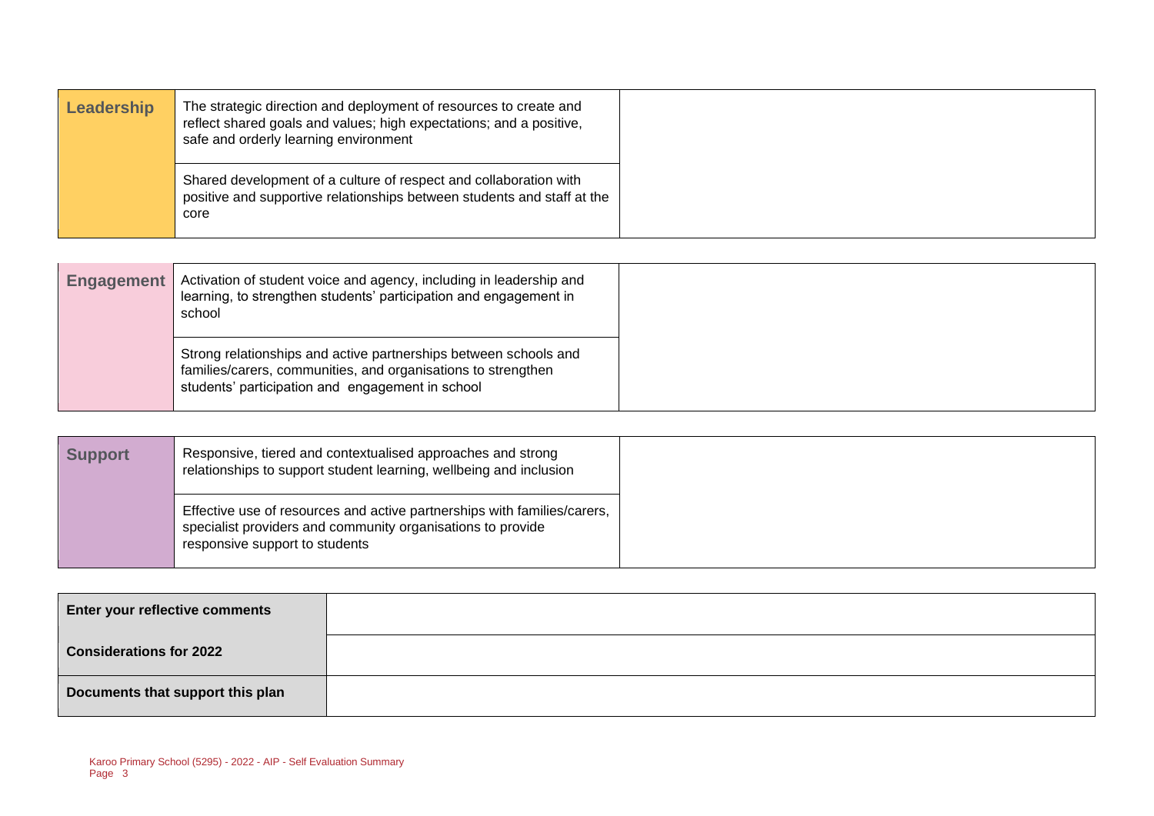| Leadership | The strategic direction and deployment of resources to create and<br>reflect shared goals and values; high expectations; and a positive,<br>safe and orderly learning environment |
|------------|-----------------------------------------------------------------------------------------------------------------------------------------------------------------------------------|
|            | Shared development of a culture of respect and collaboration with<br>positive and supportive relationships between students and staff at the<br>core                              |

| <b>Engagement</b> | Activation of student voice and agency, including in leadership and<br>learning, to strengthen students' participation and engagement in<br>school                                    |
|-------------------|---------------------------------------------------------------------------------------------------------------------------------------------------------------------------------------|
|                   | Strong relationships and active partnerships between schools and<br>families/carers, communities, and organisations to strengthen<br>students' participation and engagement in school |

| <b>Support</b> | Responsive, tiered and contextualised approaches and strong<br>relationships to support student learning, wellbeing and inclusion                                         |
|----------------|---------------------------------------------------------------------------------------------------------------------------------------------------------------------------|
|                | Effective use of resources and active partnerships with families/carers,<br>specialist providers and community organisations to provide<br>responsive support to students |

| <b>Enter your reflective comments</b> |  |
|---------------------------------------|--|
| <b>Considerations for 2022</b>        |  |
| Documents that support this plan      |  |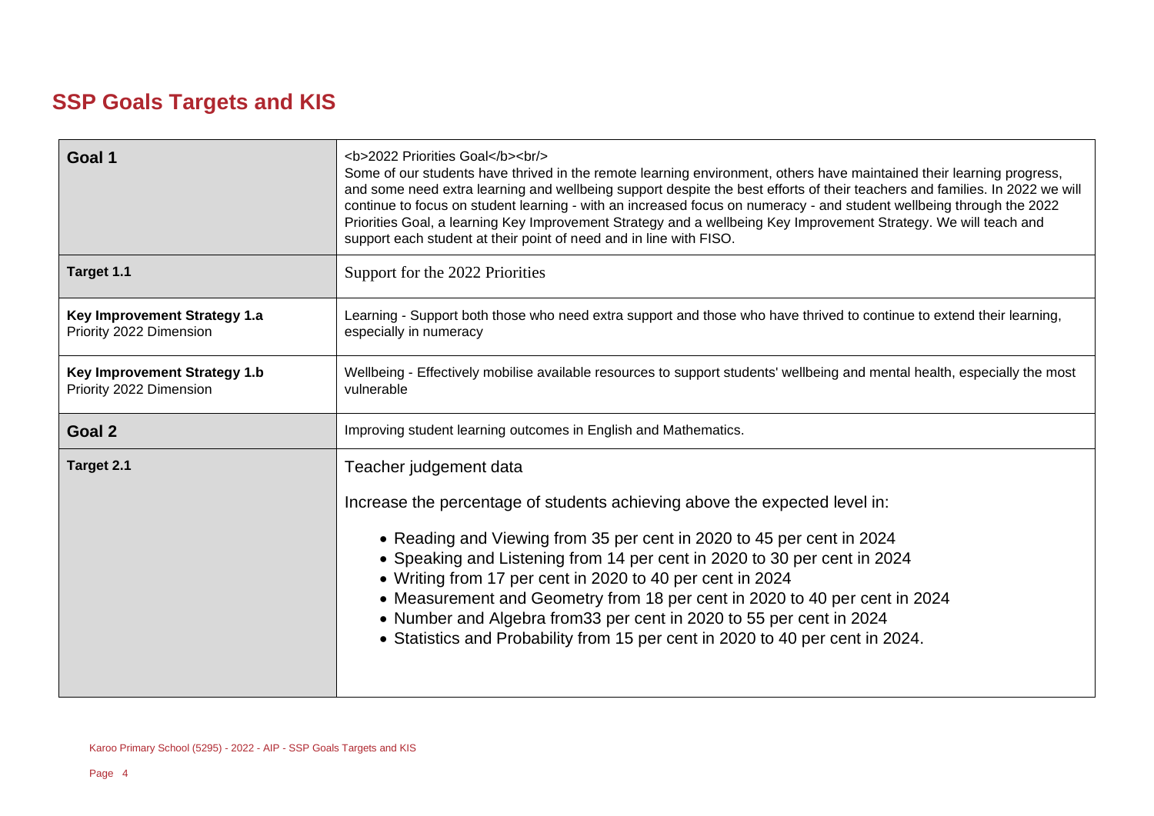# **SSP Goals Targets and KIS**

| Goal 1                                                         | <b>2022 Priorities Goal</b><br><br><br>Some of our students have thrived in the remote learning environment, others have maintained their learning progress,<br>and some need extra learning and wellbeing support despite the best efforts of their teachers and families. In 2022 we will<br>continue to focus on student learning - with an increased focus on numeracy - and student wellbeing through the 2022<br>Priorities Goal, a learning Key Improvement Strategy and a wellbeing Key Improvement Strategy. We will teach and<br>support each student at their point of need and in line with FISO. |
|----------------------------------------------------------------|---------------------------------------------------------------------------------------------------------------------------------------------------------------------------------------------------------------------------------------------------------------------------------------------------------------------------------------------------------------------------------------------------------------------------------------------------------------------------------------------------------------------------------------------------------------------------------------------------------------|
| Target 1.1                                                     | Support for the 2022 Priorities                                                                                                                                                                                                                                                                                                                                                                                                                                                                                                                                                                               |
| Key Improvement Strategy 1.a<br>Priority 2022 Dimension        | Learning - Support both those who need extra support and those who have thrived to continue to extend their learning,<br>especially in numeracy                                                                                                                                                                                                                                                                                                                                                                                                                                                               |
| <b>Key Improvement Strategy 1.b</b><br>Priority 2022 Dimension | Wellbeing - Effectively mobilise available resources to support students' wellbeing and mental health, especially the most<br>vulnerable                                                                                                                                                                                                                                                                                                                                                                                                                                                                      |
| Goal 2                                                         | Improving student learning outcomes in English and Mathematics.                                                                                                                                                                                                                                                                                                                                                                                                                                                                                                                                               |
| Target 2.1                                                     | Teacher judgement data<br>Increase the percentage of students achieving above the expected level in:<br>• Reading and Viewing from 35 per cent in 2020 to 45 per cent in 2024<br>• Speaking and Listening from 14 per cent in 2020 to 30 per cent in 2024<br>• Writing from 17 per cent in 2020 to 40 per cent in 2024<br>• Measurement and Geometry from 18 per cent in 2020 to 40 per cent in 2024<br>• Number and Algebra from 33 per cent in 2020 to 55 per cent in 2024<br>• Statistics and Probability from 15 per cent in 2020 to 40 per cent in 2024.                                                 |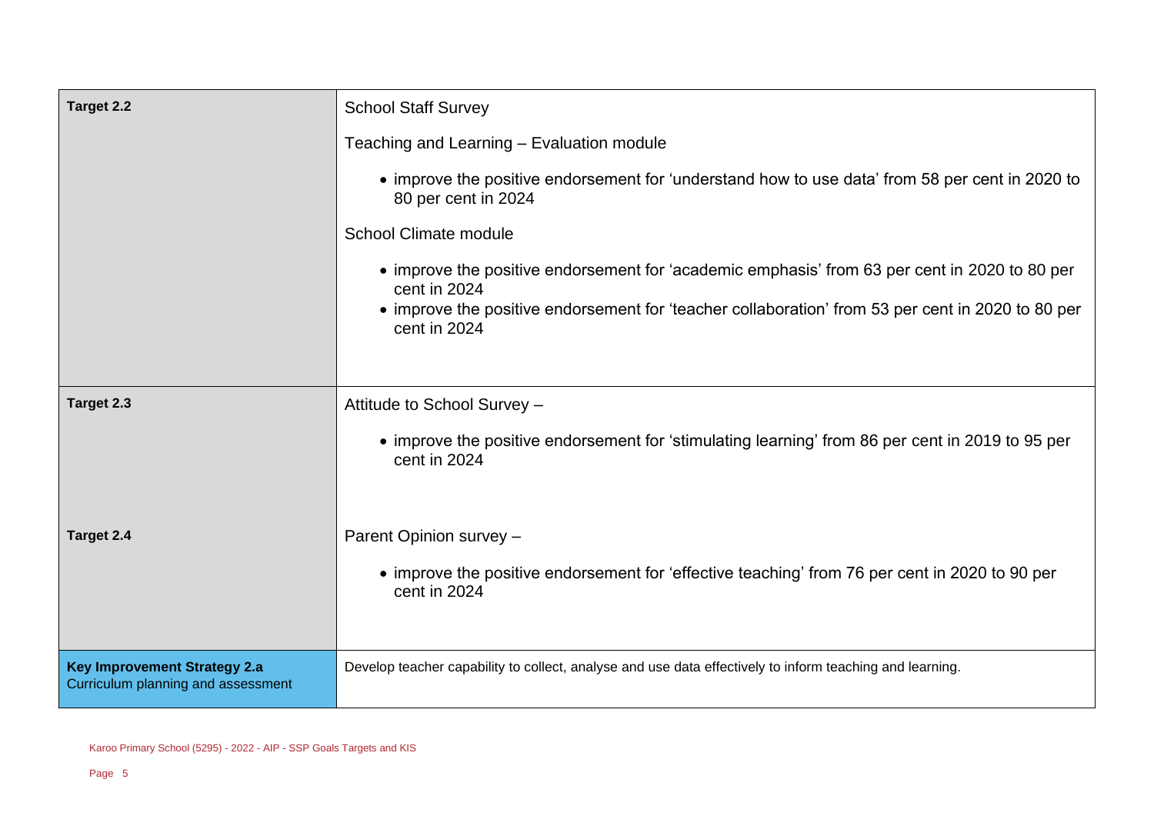| Target 2.2                                                                | <b>School Staff Survey</b>                                                                                             |  |  |
|---------------------------------------------------------------------------|------------------------------------------------------------------------------------------------------------------------|--|--|
|                                                                           | Teaching and Learning - Evaluation module                                                                              |  |  |
|                                                                           | • improve the positive endorsement for 'understand how to use data' from 58 per cent in 2020 to<br>80 per cent in 2024 |  |  |
|                                                                           | <b>School Climate module</b>                                                                                           |  |  |
|                                                                           | • improve the positive endorsement for 'academic emphasis' from 63 per cent in 2020 to 80 per<br>cent in 2024          |  |  |
|                                                                           | • improve the positive endorsement for 'teacher collaboration' from 53 per cent in 2020 to 80 per<br>cent in 2024      |  |  |
|                                                                           |                                                                                                                        |  |  |
| Target 2.3                                                                | Attitude to School Survey -                                                                                            |  |  |
|                                                                           | • improve the positive endorsement for 'stimulating learning' from 86 per cent in 2019 to 95 per<br>cent in 2024       |  |  |
|                                                                           |                                                                                                                        |  |  |
| Target 2.4                                                                | Parent Opinion survey -                                                                                                |  |  |
|                                                                           | • improve the positive endorsement for 'effective teaching' from 76 per cent in 2020 to 90 per<br>cent in 2024         |  |  |
| <b>Key Improvement Strategy 2.a</b><br>Curriculum planning and assessment | Develop teacher capability to collect, analyse and use data effectively to inform teaching and learning.               |  |  |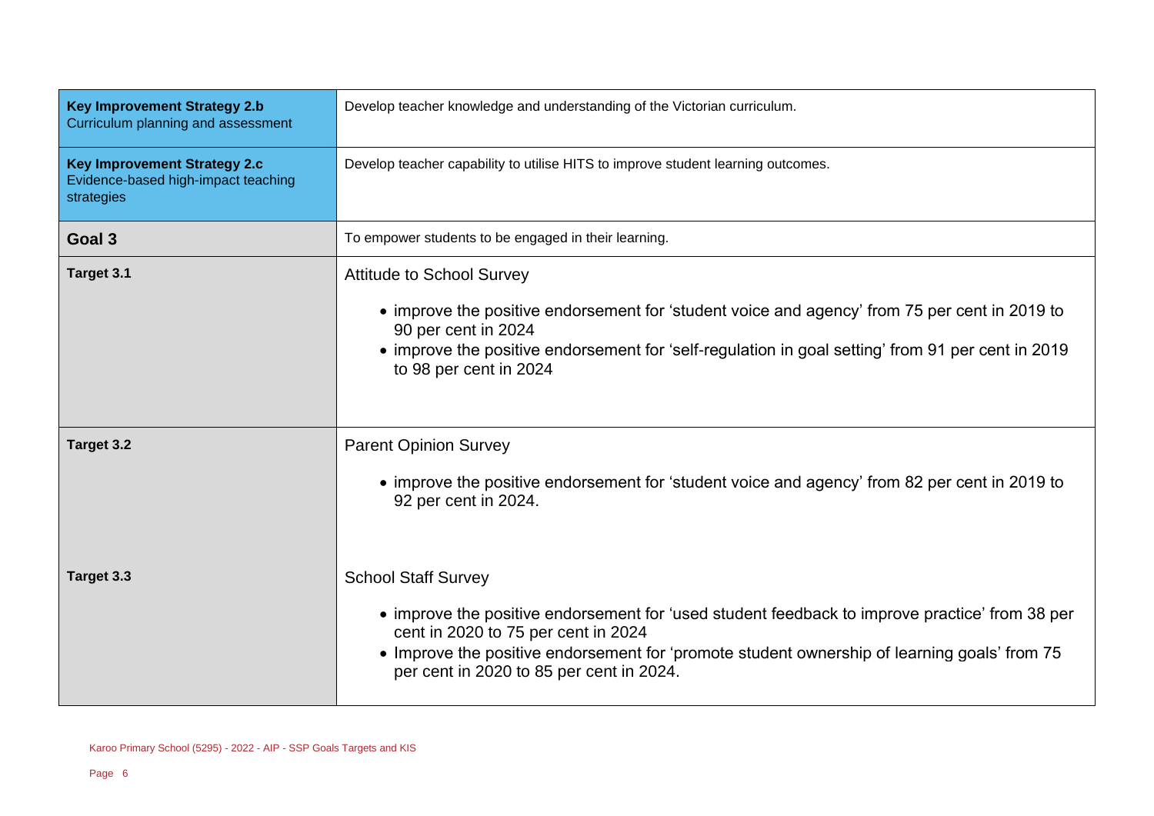| <b>Key Improvement Strategy 2.b</b><br>Curriculum planning and assessment                | Develop teacher knowledge and understanding of the Victorian curriculum.                                                                                                                                                                                                                                        |
|------------------------------------------------------------------------------------------|-----------------------------------------------------------------------------------------------------------------------------------------------------------------------------------------------------------------------------------------------------------------------------------------------------------------|
| <b>Key Improvement Strategy 2.c</b><br>Evidence-based high-impact teaching<br>strategies | Develop teacher capability to utilise HITS to improve student learning outcomes.                                                                                                                                                                                                                                |
| Goal 3                                                                                   | To empower students to be engaged in their learning.                                                                                                                                                                                                                                                            |
| Target 3.1                                                                               | <b>Attitude to School Survey</b><br>• improve the positive endorsement for 'student voice and agency' from 75 per cent in 2019 to<br>90 per cent in 2024<br>• improve the positive endorsement for 'self-regulation in goal setting' from 91 per cent in 2019<br>to 98 per cent in 2024                         |
| Target 3.2                                                                               | <b>Parent Opinion Survey</b><br>• improve the positive endorsement for 'student voice and agency' from 82 per cent in 2019 to<br>92 per cent in 2024.                                                                                                                                                           |
| Target 3.3                                                                               | <b>School Staff Survey</b><br>• improve the positive endorsement for 'used student feedback to improve practice' from 38 per<br>cent in 2020 to 75 per cent in 2024<br>• Improve the positive endorsement for 'promote student ownership of learning goals' from 75<br>per cent in 2020 to 85 per cent in 2024. |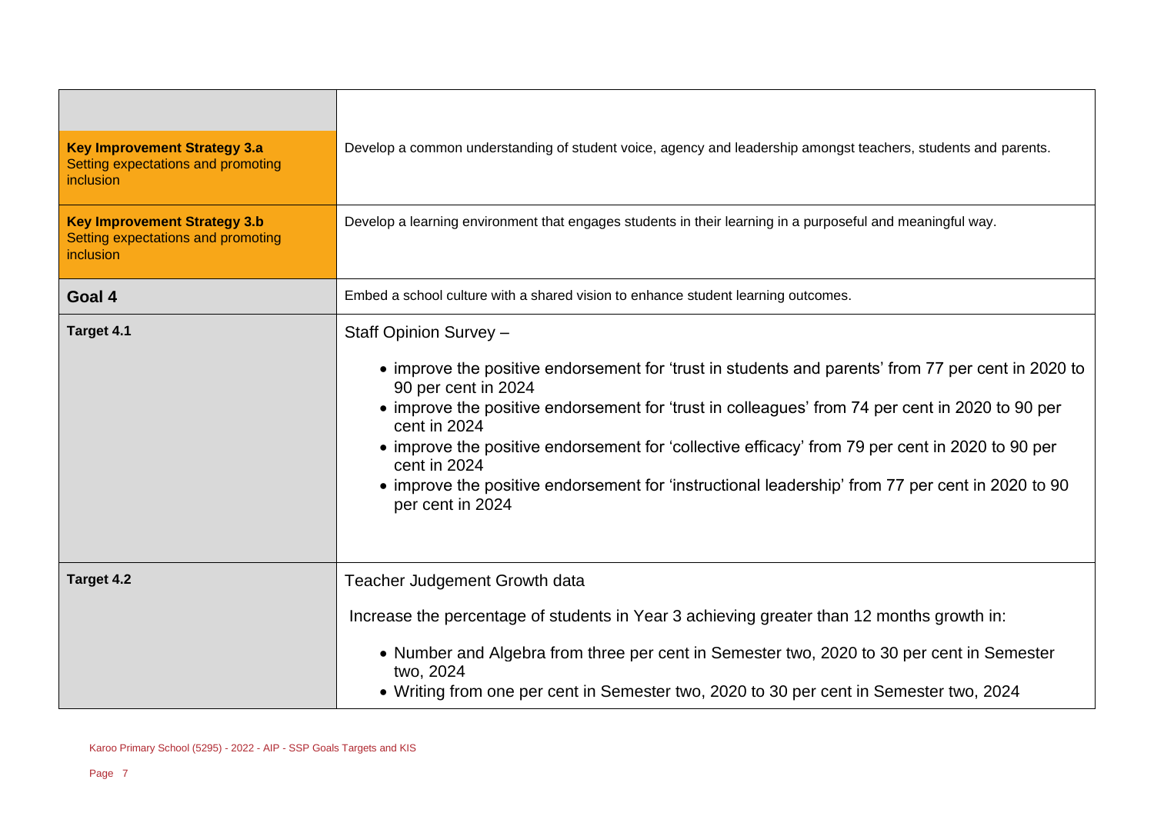| <b>Key Improvement Strategy 3.a</b><br>Setting expectations and promoting<br>inclusion        | Develop a common understanding of student voice, agency and leadership amongst teachers, students and parents.                                                                                                                                                                                                                                                                                                                                                                                                    |  |
|-----------------------------------------------------------------------------------------------|-------------------------------------------------------------------------------------------------------------------------------------------------------------------------------------------------------------------------------------------------------------------------------------------------------------------------------------------------------------------------------------------------------------------------------------------------------------------------------------------------------------------|--|
| <b>Key Improvement Strategy 3.b</b><br>Setting expectations and promoting<br><i>inclusion</i> | Develop a learning environment that engages students in their learning in a purposeful and meaningful way.                                                                                                                                                                                                                                                                                                                                                                                                        |  |
| Goal 4                                                                                        | Embed a school culture with a shared vision to enhance student learning outcomes.                                                                                                                                                                                                                                                                                                                                                                                                                                 |  |
| Target 4.1                                                                                    | Staff Opinion Survey -<br>• improve the positive endorsement for 'trust in students and parents' from 77 per cent in 2020 to<br>90 per cent in 2024<br>• improve the positive endorsement for 'trust in colleagues' from 74 per cent in 2020 to 90 per<br>cent in 2024<br>• improve the positive endorsement for 'collective efficacy' from 79 per cent in 2020 to 90 per<br>cent in 2024<br>• improve the positive endorsement for 'instructional leadership' from 77 per cent in 2020 to 90<br>per cent in 2024 |  |
| Target 4.2                                                                                    | Teacher Judgement Growth data<br>Increase the percentage of students in Year 3 achieving greater than 12 months growth in:<br>• Number and Algebra from three per cent in Semester two, 2020 to 30 per cent in Semester<br>two, 2024<br>• Writing from one per cent in Semester two, 2020 to 30 per cent in Semester two, 2024                                                                                                                                                                                    |  |

 $\overline{a}$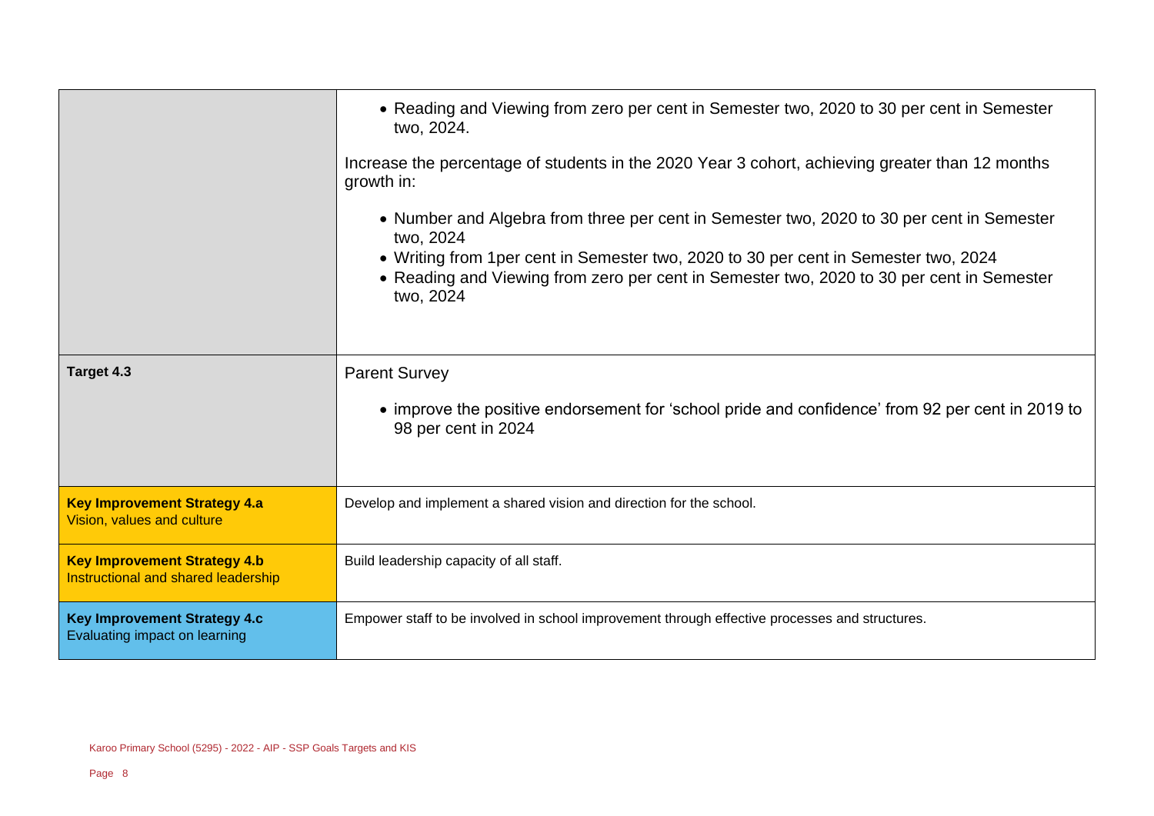|                                                                            | • Reading and Viewing from zero per cent in Semester two, 2020 to 30 per cent in Semester<br>two, 2024.<br>Increase the percentage of students in the 2020 Year 3 cohort, achieving greater than 12 months<br>growth in:<br>• Number and Algebra from three per cent in Semester two, 2020 to 30 per cent in Semester<br>two, 2024<br>• Writing from 1 per cent in Semester two, 2020 to 30 per cent in Semester two, 2024<br>• Reading and Viewing from zero per cent in Semester two, 2020 to 30 per cent in Semester<br>two, 2024 |
|----------------------------------------------------------------------------|--------------------------------------------------------------------------------------------------------------------------------------------------------------------------------------------------------------------------------------------------------------------------------------------------------------------------------------------------------------------------------------------------------------------------------------------------------------------------------------------------------------------------------------|
| Target 4.3                                                                 | <b>Parent Survey</b><br>• improve the positive endorsement for 'school pride and confidence' from 92 per cent in 2019 to<br>98 per cent in 2024                                                                                                                                                                                                                                                                                                                                                                                      |
| <b>Key Improvement Strategy 4.a</b><br>Vision, values and culture          | Develop and implement a shared vision and direction for the school.                                                                                                                                                                                                                                                                                                                                                                                                                                                                  |
| <b>Key Improvement Strategy 4.b</b><br>Instructional and shared leadership | Build leadership capacity of all staff.                                                                                                                                                                                                                                                                                                                                                                                                                                                                                              |
| <b>Key Improvement Strategy 4.c</b><br>Evaluating impact on learning       | Empower staff to be involved in school improvement through effective processes and structures.                                                                                                                                                                                                                                                                                                                                                                                                                                       |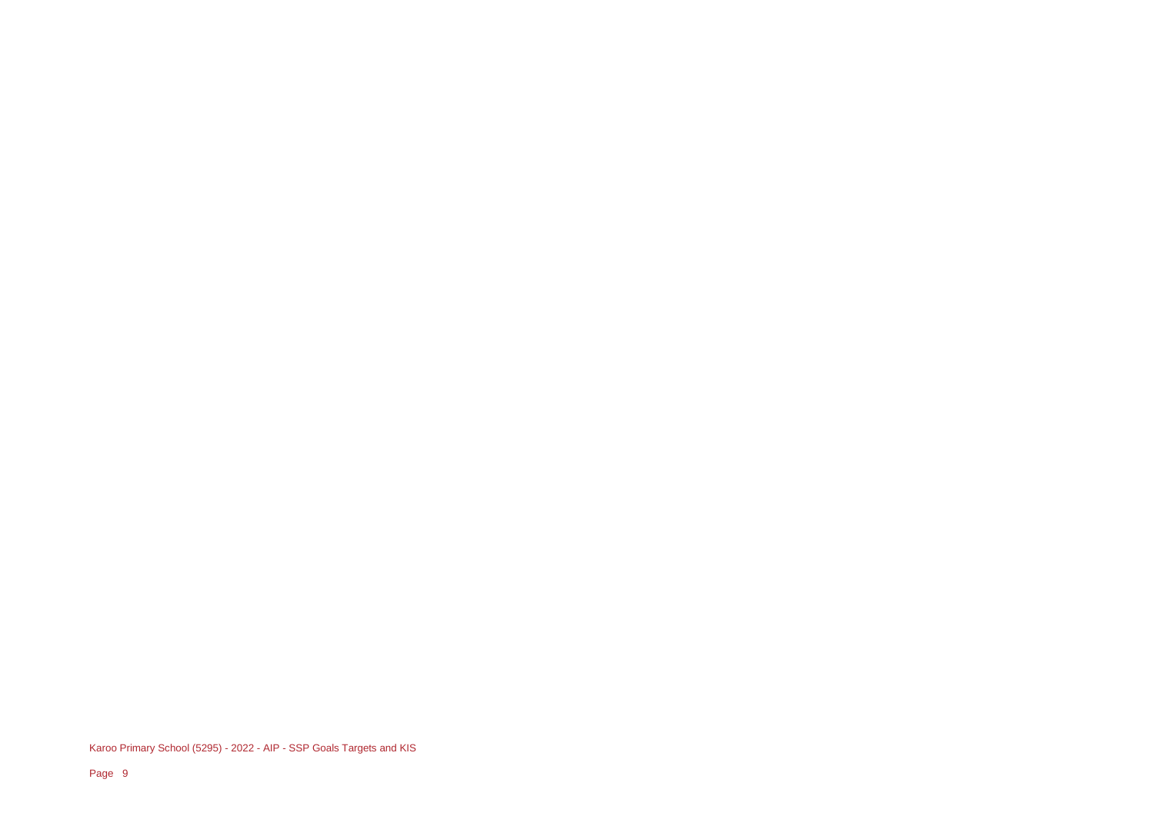Karoo Primary School (5295) - 2022 - AIP - SSP Goals Targets and KIS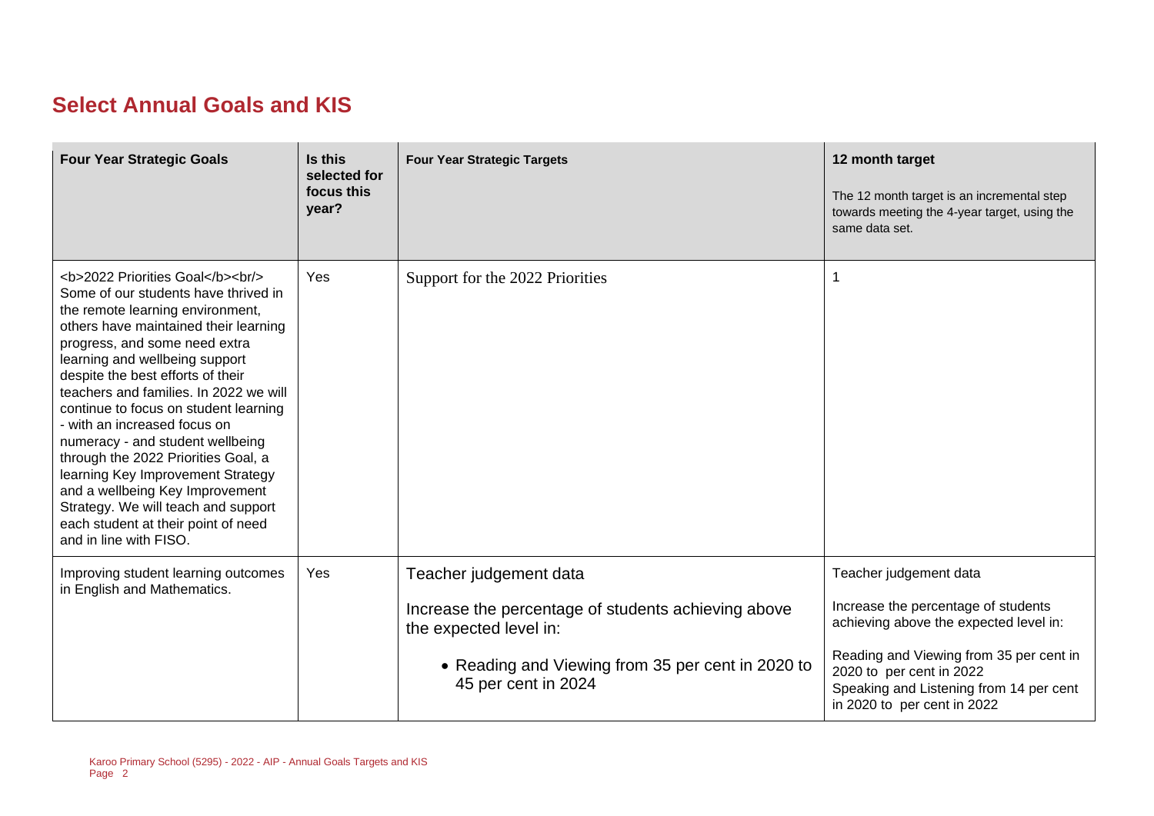## **Select Annual Goals and KIS**

| <b>Four Year Strategic Goals</b>                                                                                                                                                              | Is this<br>selected for<br>focus this<br>year? | <b>Four Year Strategic Targets</b>                                                                                                                                                  | 12 month target<br>The 12 month target is an incremental step<br>towards meeting the 4-year target, using the<br>same data set.                                                                                                                          |
|-----------------------------------------------------------------------------------------------------------------------------------------------------------------------------------------------|------------------------------------------------|-------------------------------------------------------------------------------------------------------------------------------------------------------------------------------------|----------------------------------------------------------------------------------------------------------------------------------------------------------------------------------------------------------------------------------------------------------|
| <b>2022 Priorities Goal</b><br><br><br>Some of our students have thrived in<br>the remote learning environment,<br>others have maintained their learning<br>progress, and some need extra<br> | Yes                                            | Support for the 2022 Priorities                                                                                                                                                     |                                                                                                                                                                                                                                                          |
| Improving student learning outcomes<br>in English and Mathematics.                                                                                                                            | Yes                                            | Teacher judgement data<br>Increase the percentage of students achieving above<br>the expected level in:<br>• Reading and Viewing from 35 per cent in 2020 to<br>45 per cent in 2024 | Teacher judgement data<br>Increase the percentage of students<br>achieving above the expected level in:<br>Reading and Viewing from 35 per cent in<br>2020 to per cent in 2022<br>Speaking and Listening from 14 per cent<br>in 2020 to per cent in 2022 |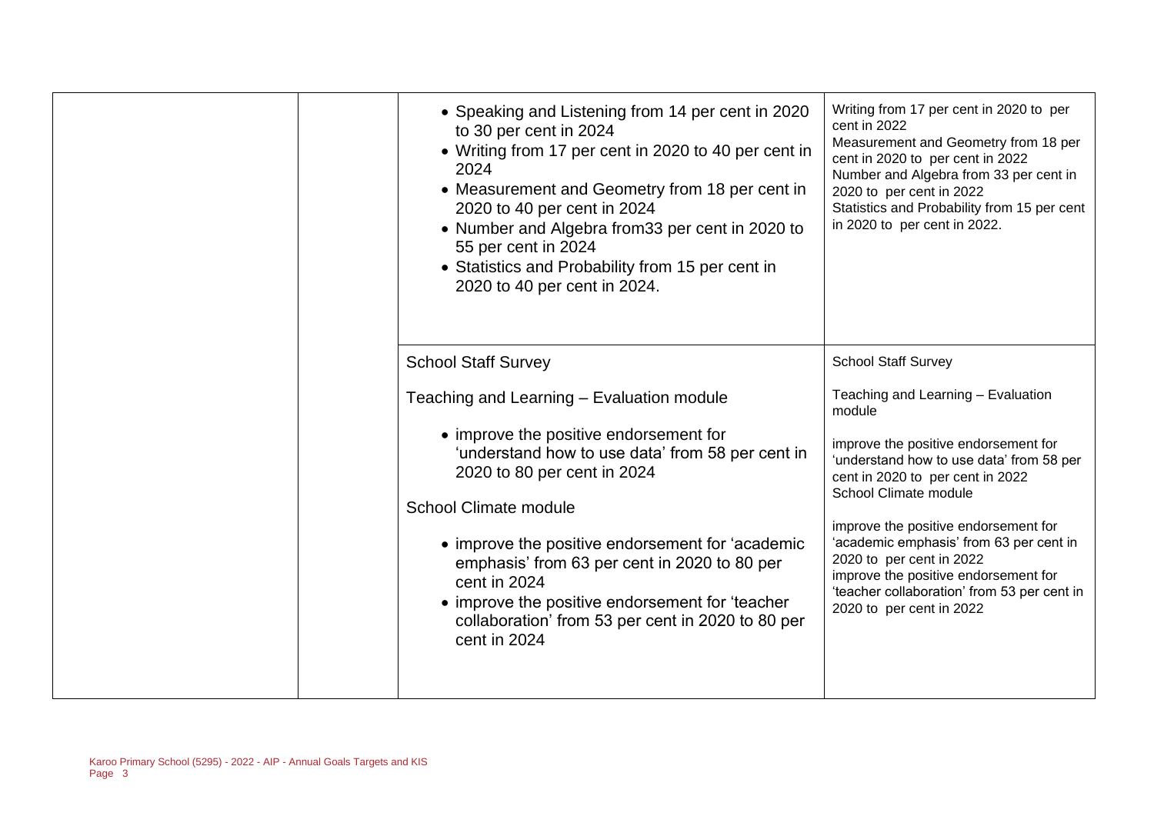| • Speaking and Listening from 14 per cent in 2020<br>to 30 per cent in 2024<br>• Writing from 17 per cent in 2020 to 40 per cent in<br>2024<br>• Measurement and Geometry from 18 per cent in<br>2020 to 40 per cent in 2024<br>• Number and Algebra from 33 per cent in 2020 to<br>55 per cent in 2024<br>• Statistics and Probability from 15 per cent in<br>2020 to 40 per cent in 2024. | Writing from 17 per cent in 2020 to per<br>cent in 2022<br>Measurement and Geometry from 18 per<br>cent in 2020 to per cent in 2022<br>Number and Algebra from 33 per cent in<br>2020 to per cent in 2022<br>Statistics and Probability from 15 per cent<br>in 2020 to per cent in 2022.    |
|---------------------------------------------------------------------------------------------------------------------------------------------------------------------------------------------------------------------------------------------------------------------------------------------------------------------------------------------------------------------------------------------|---------------------------------------------------------------------------------------------------------------------------------------------------------------------------------------------------------------------------------------------------------------------------------------------|
| <b>School Staff Survey</b>                                                                                                                                                                                                                                                                                                                                                                  | <b>School Staff Survey</b>                                                                                                                                                                                                                                                                  |
| Teaching and Learning - Evaluation module<br>• improve the positive endorsement for<br>'understand how to use data' from 58 per cent in                                                                                                                                                                                                                                                     | Teaching and Learning - Evaluation<br>module<br>improve the positive endorsement for<br>'understand how to use data' from 58 per                                                                                                                                                            |
| 2020 to 80 per cent in 2024<br><b>School Climate module</b><br>• improve the positive endorsement for 'academic<br>emphasis' from 63 per cent in 2020 to 80 per<br>cent in 2024<br>• improve the positive endorsement for 'teacher                                                                                                                                                          | cent in 2020 to per cent in 2022<br>School Climate module<br>improve the positive endorsement for<br>'academic emphasis' from 63 per cent in<br>2020 to per cent in 2022<br>improve the positive endorsement for<br>'teacher collaboration' from 53 per cent in<br>2020 to per cent in 2022 |
| collaboration' from 53 per cent in 2020 to 80 per<br>cent in 2024                                                                                                                                                                                                                                                                                                                           |                                                                                                                                                                                                                                                                                             |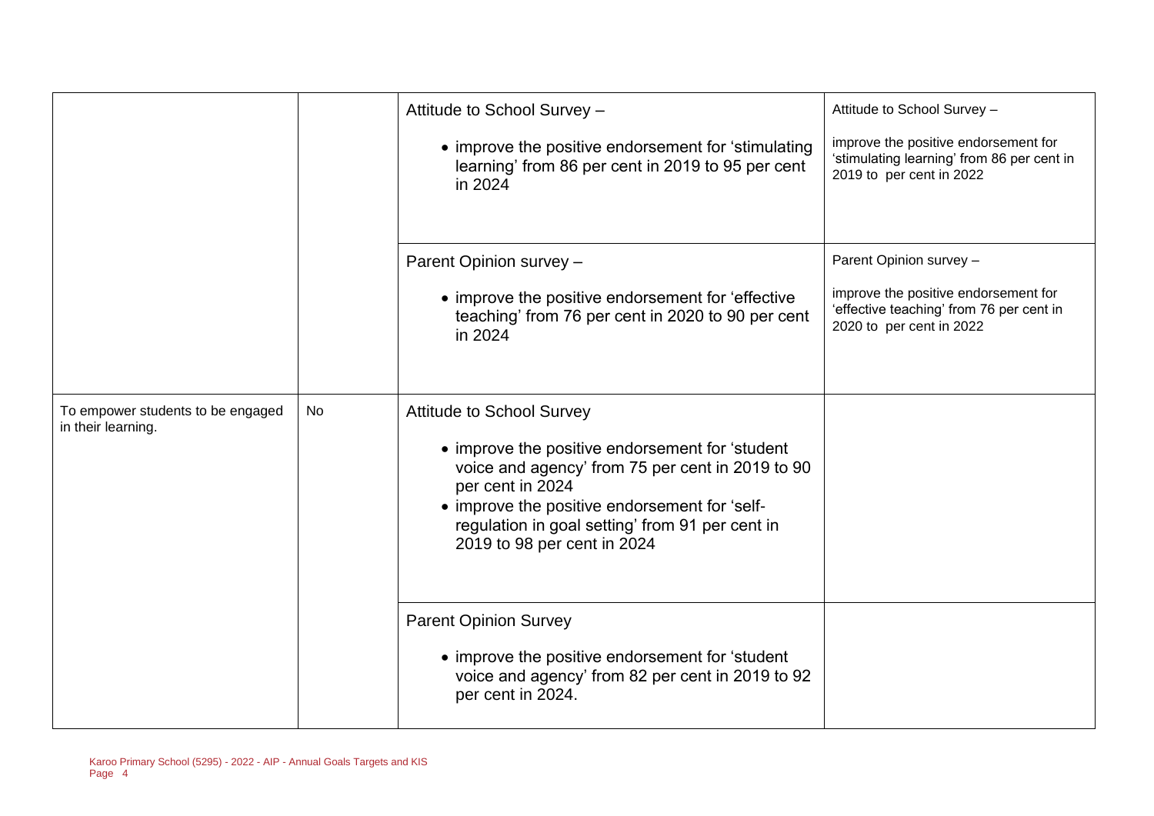|                                                         |    | Attitude to School Survey -<br>• improve the positive endorsement for 'stimulating<br>learning' from 86 per cent in 2019 to 95 per cent<br>in 2024                                                                                                                                             | Attitude to School Survey -<br>improve the positive endorsement for<br>'stimulating learning' from 86 per cent in<br>2019 to per cent in 2022 |
|---------------------------------------------------------|----|------------------------------------------------------------------------------------------------------------------------------------------------------------------------------------------------------------------------------------------------------------------------------------------------|-----------------------------------------------------------------------------------------------------------------------------------------------|
|                                                         |    | Parent Opinion survey -<br>• improve the positive endorsement for 'effective'<br>teaching' from 76 per cent in 2020 to 90 per cent<br>in 2024                                                                                                                                                  | Parent Opinion survey -<br>improve the positive endorsement for<br>'effective teaching' from 76 per cent in<br>2020 to per cent in 2022       |
| To empower students to be engaged<br>in their learning. | No | <b>Attitude to School Survey</b><br>• improve the positive endorsement for 'student<br>voice and agency' from 75 per cent in 2019 to 90<br>per cent in 2024<br>• improve the positive endorsement for 'self-<br>regulation in goal setting' from 91 per cent in<br>2019 to 98 per cent in 2024 |                                                                                                                                               |
|                                                         |    | <b>Parent Opinion Survey</b><br>• improve the positive endorsement for 'student<br>voice and agency' from 82 per cent in 2019 to 92<br>per cent in 2024.                                                                                                                                       |                                                                                                                                               |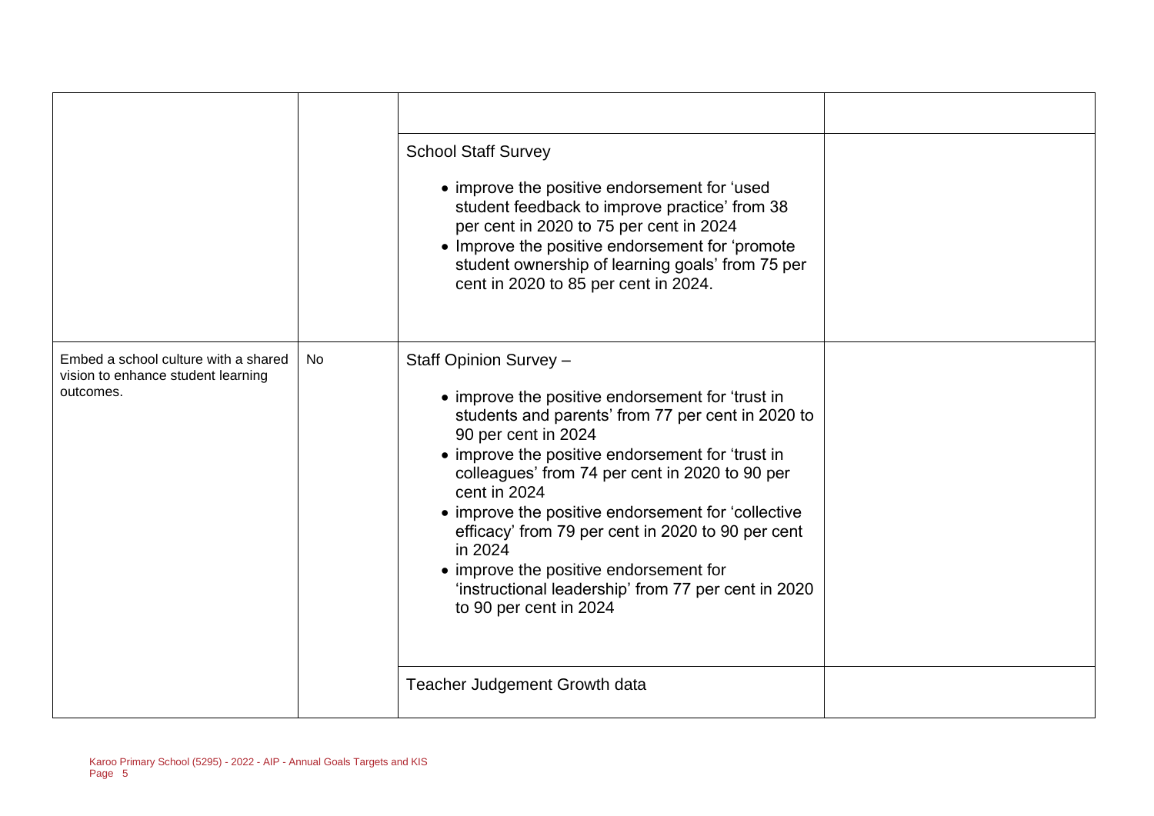|                                                                                         |     | <b>School Staff Survey</b><br>• improve the positive endorsement for 'used<br>student feedback to improve practice' from 38<br>per cent in 2020 to 75 per cent in 2024<br>• Improve the positive endorsement for 'promote<br>student ownership of learning goals' from 75 per                                                                                                                                                                                                                                                 |  |
|-----------------------------------------------------------------------------------------|-----|-------------------------------------------------------------------------------------------------------------------------------------------------------------------------------------------------------------------------------------------------------------------------------------------------------------------------------------------------------------------------------------------------------------------------------------------------------------------------------------------------------------------------------|--|
|                                                                                         |     | cent in 2020 to 85 per cent in 2024.                                                                                                                                                                                                                                                                                                                                                                                                                                                                                          |  |
| Embed a school culture with a shared<br>vision to enhance student learning<br>outcomes. | No. | Staff Opinion Survey -<br>• improve the positive endorsement for 'trust in<br>students and parents' from 77 per cent in 2020 to<br>90 per cent in 2024<br>• improve the positive endorsement for 'trust in<br>colleagues' from 74 per cent in 2020 to 90 per<br>cent in 2024<br>• improve the positive endorsement for 'collective<br>efficacy' from 79 per cent in 2020 to 90 per cent<br>in 2024<br>• improve the positive endorsement for<br>'instructional leadership' from 77 per cent in 2020<br>to 90 per cent in 2024 |  |
|                                                                                         |     | Teacher Judgement Growth data                                                                                                                                                                                                                                                                                                                                                                                                                                                                                                 |  |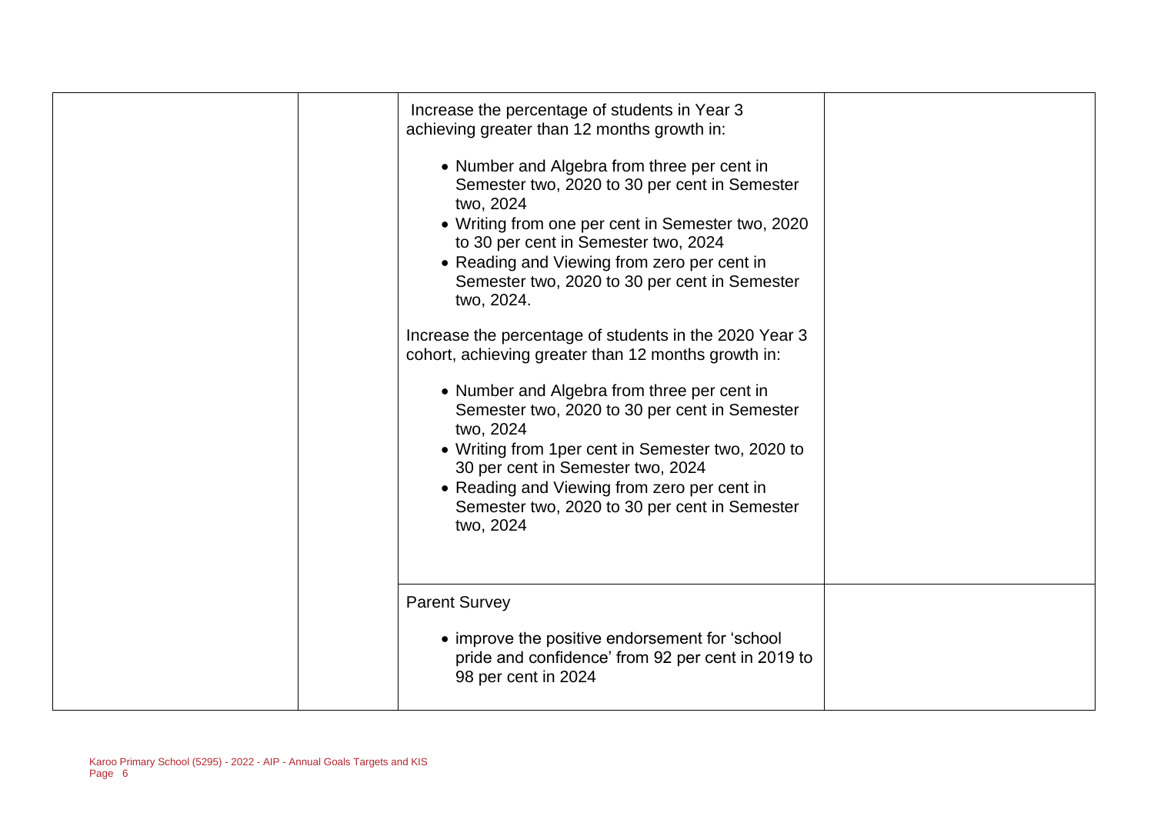| Increase the percentage of students in Year 3<br>achieving greater than 12 months growth in:<br>• Number and Algebra from three per cent in<br>Semester two, 2020 to 30 per cent in Semester<br>two, 2024<br>• Writing from one per cent in Semester two, 2020<br>to 30 per cent in Semester two, 2024<br>• Reading and Viewing from zero per cent in<br>Semester two, 2020 to 30 per cent in Semester<br>two, 2024.<br>Increase the percentage of students in the 2020 Year 3<br>cohort, achieving greater than 12 months growth in:<br>• Number and Algebra from three per cent in<br>Semester two, 2020 to 30 per cent in Semester<br>two, 2024<br>• Writing from 1per cent in Semester two, 2020 to<br>30 per cent in Semester two, 2024<br>• Reading and Viewing from zero per cent in<br>Semester two, 2020 to 30 per cent in Semester<br>two, 2024 |  |
|-----------------------------------------------------------------------------------------------------------------------------------------------------------------------------------------------------------------------------------------------------------------------------------------------------------------------------------------------------------------------------------------------------------------------------------------------------------------------------------------------------------------------------------------------------------------------------------------------------------------------------------------------------------------------------------------------------------------------------------------------------------------------------------------------------------------------------------------------------------|--|
| <b>Parent Survey</b><br>• improve the positive endorsement for 'school<br>pride and confidence' from 92 per cent in 2019 to<br>98 per cent in 2024                                                                                                                                                                                                                                                                                                                                                                                                                                                                                                                                                                                                                                                                                                        |  |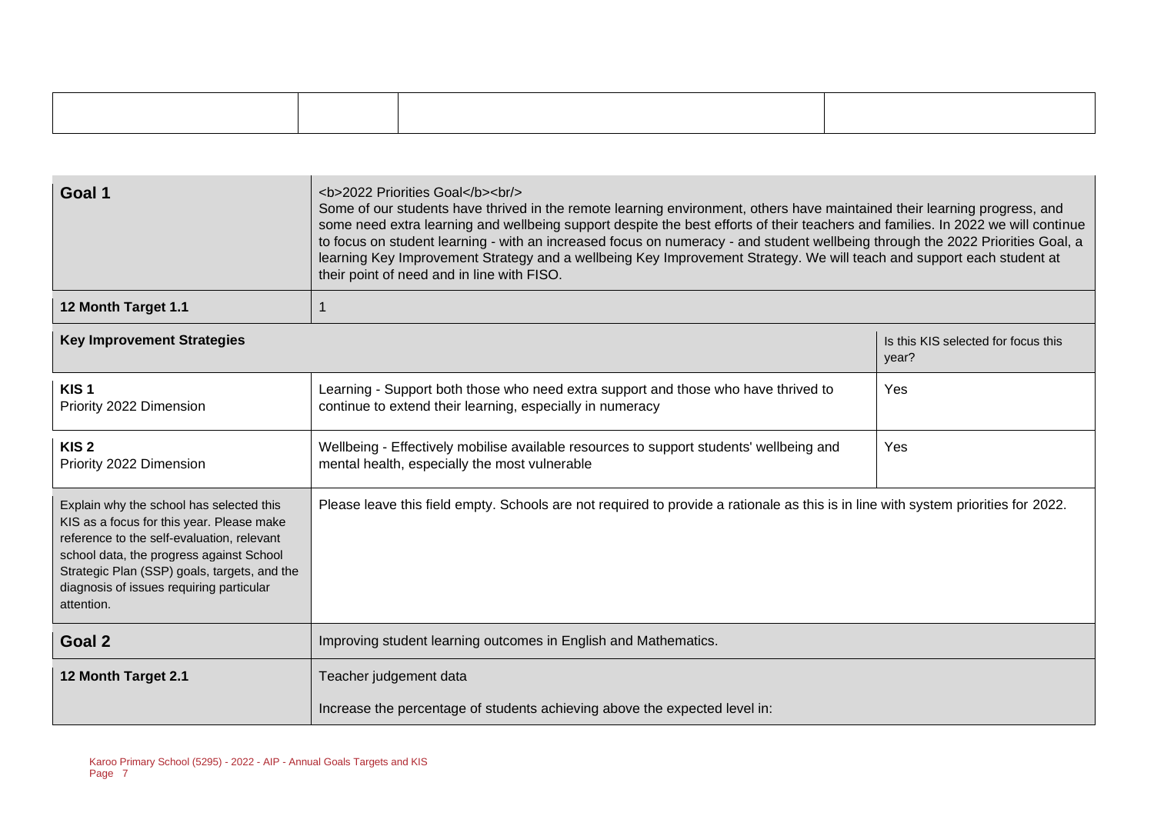| Goal 1                                                                                                                                                                                                                                                                                    | <b>2022 Priorities Goal</b><br><br><br>Some of our students have thrived in the remote learning environment, others have maintained their learning progress, and<br>some need extra learning and wellbeing support despite the best efforts of their teachers and families. In 2022 we will continue<br>to focus on student learning - with an increased focus on numeracy - and student wellbeing through the 2022 Priorities Goal, a<br>learning Key Improvement Strategy and a wellbeing Key Improvement Strategy. We will teach and support each student at<br>their point of need and in line with FISO. |                                              |  |
|-------------------------------------------------------------------------------------------------------------------------------------------------------------------------------------------------------------------------------------------------------------------------------------------|---------------------------------------------------------------------------------------------------------------------------------------------------------------------------------------------------------------------------------------------------------------------------------------------------------------------------------------------------------------------------------------------------------------------------------------------------------------------------------------------------------------------------------------------------------------------------------------------------------------|----------------------------------------------|--|
| 12 Month Target 1.1                                                                                                                                                                                                                                                                       |                                                                                                                                                                                                                                                                                                                                                                                                                                                                                                                                                                                                               |                                              |  |
| <b>Key Improvement Strategies</b>                                                                                                                                                                                                                                                         |                                                                                                                                                                                                                                                                                                                                                                                                                                                                                                                                                                                                               | Is this KIS selected for focus this<br>year? |  |
| KIS <sub>1</sub><br>Priority 2022 Dimension                                                                                                                                                                                                                                               | Learning - Support both those who need extra support and those who have thrived to<br>continue to extend their learning, especially in numeracy                                                                                                                                                                                                                                                                                                                                                                                                                                                               | Yes                                          |  |
| KIS <sub>2</sub><br>Priority 2022 Dimension                                                                                                                                                                                                                                               | Wellbeing - Effectively mobilise available resources to support students' wellbeing and<br>mental health, especially the most vulnerable                                                                                                                                                                                                                                                                                                                                                                                                                                                                      | Yes                                          |  |
| Explain why the school has selected this<br>KIS as a focus for this year. Please make<br>reference to the self-evaluation, relevant<br>school data, the progress against School<br>Strategic Plan (SSP) goals, targets, and the<br>diagnosis of issues requiring particular<br>attention. | Please leave this field empty. Schools are not required to provide a rationale as this is in line with system priorities for 2022.                                                                                                                                                                                                                                                                                                                                                                                                                                                                            |                                              |  |
| Goal 2                                                                                                                                                                                                                                                                                    | Improving student learning outcomes in English and Mathematics.                                                                                                                                                                                                                                                                                                                                                                                                                                                                                                                                               |                                              |  |
| 12 Month Target 2.1                                                                                                                                                                                                                                                                       | Teacher judgement data<br>Increase the percentage of students achieving above the expected level in:                                                                                                                                                                                                                                                                                                                                                                                                                                                                                                          |                                              |  |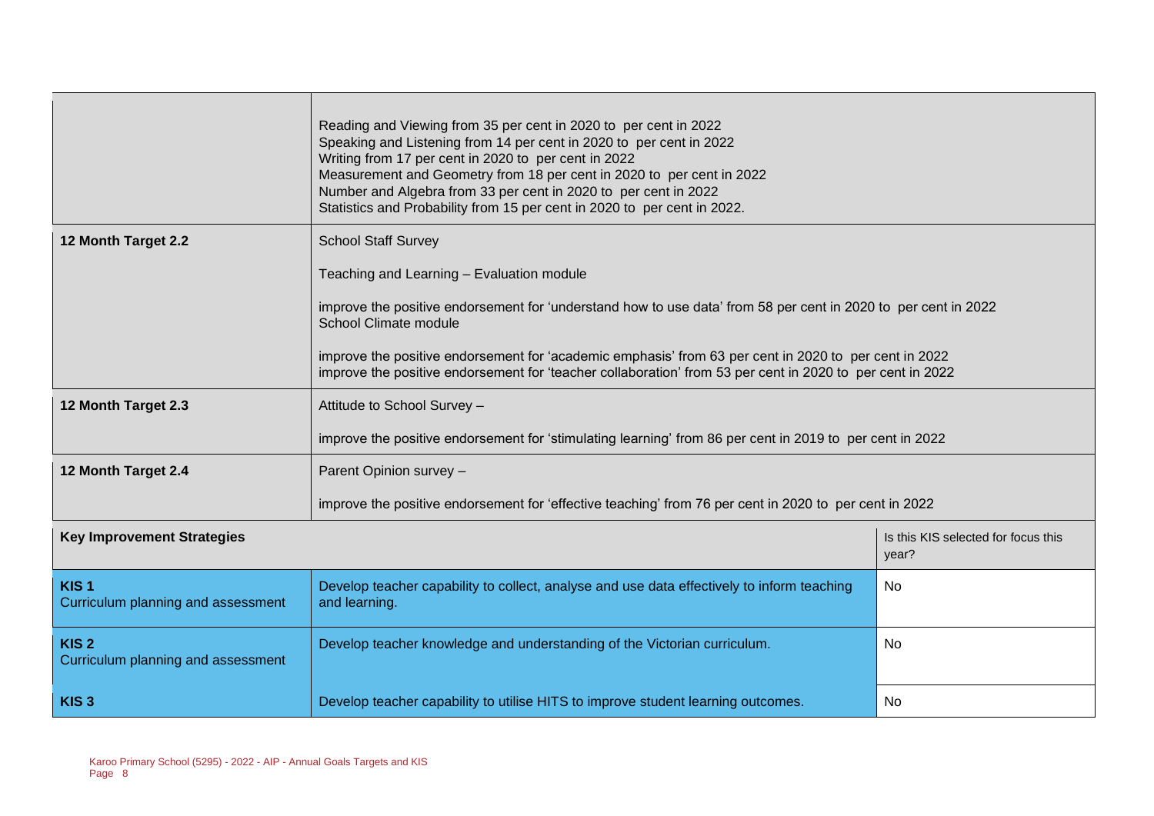|                                                        | Reading and Viewing from 35 per cent in 2020 to per cent in 2022<br>Speaking and Listening from 14 per cent in 2020 to per cent in 2022<br>Writing from 17 per cent in 2020 to per cent in 2022<br>Measurement and Geometry from 18 per cent in 2020 to per cent in 2022<br>Number and Algebra from 33 per cent in 2020 to per cent in 2022<br>Statistics and Probability from 15 per cent in 2020 to per cent in 2022. |                                              |  |  |
|--------------------------------------------------------|-------------------------------------------------------------------------------------------------------------------------------------------------------------------------------------------------------------------------------------------------------------------------------------------------------------------------------------------------------------------------------------------------------------------------|----------------------------------------------|--|--|
| 12 Month Target 2.2                                    | <b>School Staff Survey</b>                                                                                                                                                                                                                                                                                                                                                                                              |                                              |  |  |
|                                                        | Teaching and Learning - Evaluation module                                                                                                                                                                                                                                                                                                                                                                               |                                              |  |  |
|                                                        | improve the positive endorsement for 'understand how to use data' from 58 per cent in 2020 to per cent in 2022<br>School Climate module                                                                                                                                                                                                                                                                                 |                                              |  |  |
|                                                        | improve the positive endorsement for 'academic emphasis' from 63 per cent in 2020 to per cent in 2022<br>improve the positive endorsement for 'teacher collaboration' from 53 per cent in 2020 to per cent in 2022                                                                                                                                                                                                      |                                              |  |  |
| 12 Month Target 2.3                                    | Attitude to School Survey -                                                                                                                                                                                                                                                                                                                                                                                             |                                              |  |  |
|                                                        | improve the positive endorsement for 'stimulating learning' from 86 per cent in 2019 to per cent in 2022                                                                                                                                                                                                                                                                                                                |                                              |  |  |
| 12 Month Target 2.4                                    | Parent Opinion survey -                                                                                                                                                                                                                                                                                                                                                                                                 |                                              |  |  |
|                                                        | improve the positive endorsement for 'effective teaching' from 76 per cent in 2020 to per cent in 2022                                                                                                                                                                                                                                                                                                                  |                                              |  |  |
| <b>Key Improvement Strategies</b>                      |                                                                                                                                                                                                                                                                                                                                                                                                                         | Is this KIS selected for focus this<br>year? |  |  |
| KIS <sub>1</sub><br>Curriculum planning and assessment | Develop teacher capability to collect, analyse and use data effectively to inform teaching<br>and learning.                                                                                                                                                                                                                                                                                                             | No                                           |  |  |
| KIS <sub>2</sub><br>Curriculum planning and assessment | Develop teacher knowledge and understanding of the Victorian curriculum.                                                                                                                                                                                                                                                                                                                                                | No                                           |  |  |
| KIS <sub>3</sub>                                       | Develop teacher capability to utilise HITS to improve student learning outcomes.                                                                                                                                                                                                                                                                                                                                        | <b>No</b>                                    |  |  |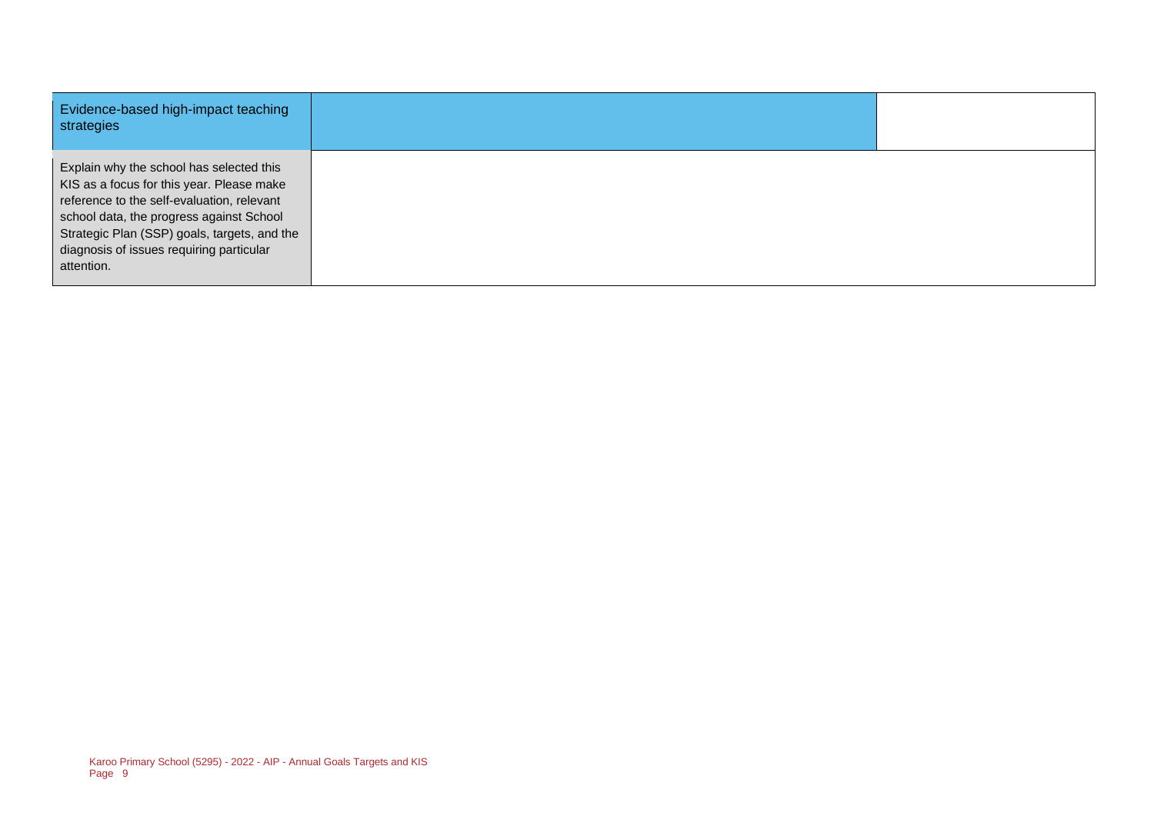| Evidence-based high-impact teaching<br>strategies                                                                                                                                                                                                                                         |  |
|-------------------------------------------------------------------------------------------------------------------------------------------------------------------------------------------------------------------------------------------------------------------------------------------|--|
| Explain why the school has selected this<br>KIS as a focus for this year. Please make<br>reference to the self-evaluation, relevant<br>school data, the progress against School<br>Strategic Plan (SSP) goals, targets, and the<br>diagnosis of issues requiring particular<br>attention. |  |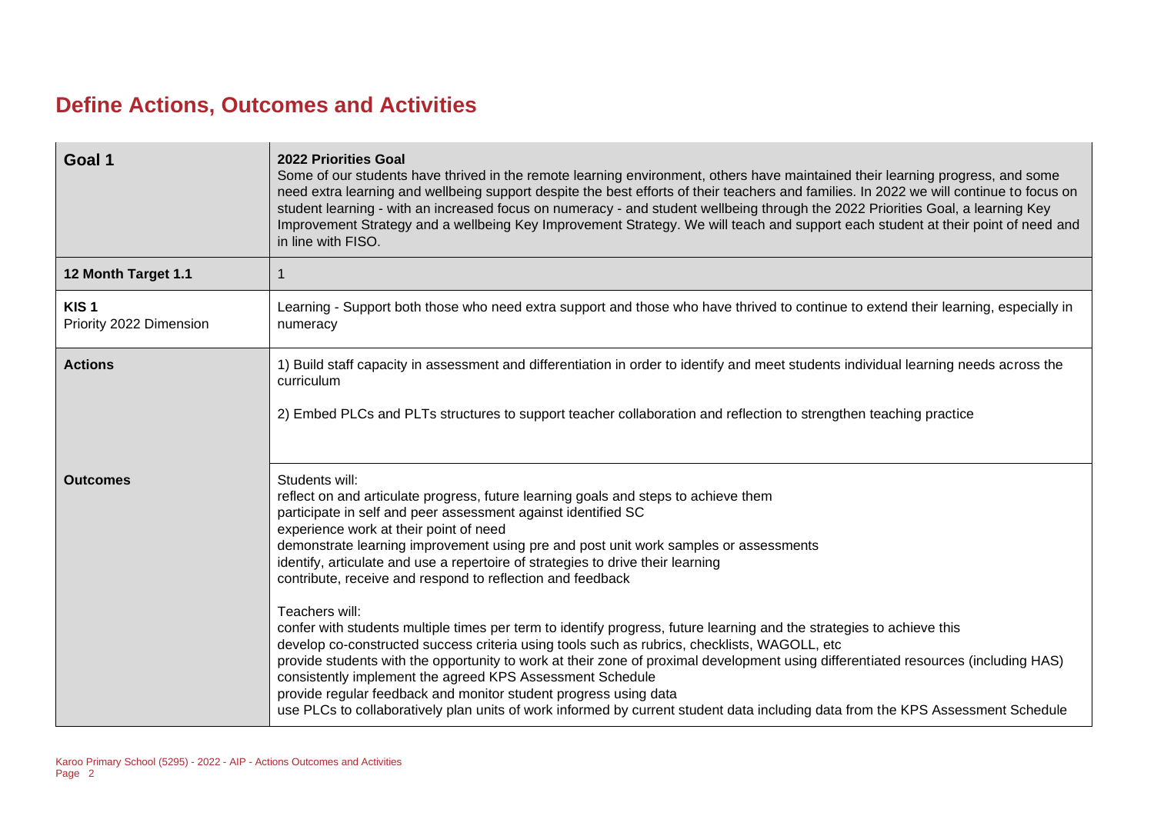## **Define Actions, Outcomes and Activities**

| Goal 1                                      | <b>2022 Priorities Goal</b><br>Some of our students have thrived in the remote learning environment, others have maintained their learning progress, and some<br>need extra learning and wellbeing support despite the best efforts of their teachers and families. In 2022 we will continue to focus on<br>student learning - with an increased focus on numeracy - and student wellbeing through the 2022 Priorities Goal, a learning Key<br>Improvement Strategy and a wellbeing Key Improvement Strategy. We will teach and support each student at their point of need and<br>in line with FISO.                                                                                                                                                                                                                                                                                                                                                                                                                                                                                                          |
|---------------------------------------------|----------------------------------------------------------------------------------------------------------------------------------------------------------------------------------------------------------------------------------------------------------------------------------------------------------------------------------------------------------------------------------------------------------------------------------------------------------------------------------------------------------------------------------------------------------------------------------------------------------------------------------------------------------------------------------------------------------------------------------------------------------------------------------------------------------------------------------------------------------------------------------------------------------------------------------------------------------------------------------------------------------------------------------------------------------------------------------------------------------------|
| 12 Month Target 1.1                         | 1                                                                                                                                                                                                                                                                                                                                                                                                                                                                                                                                                                                                                                                                                                                                                                                                                                                                                                                                                                                                                                                                                                              |
| KIS <sub>1</sub><br>Priority 2022 Dimension | Learning - Support both those who need extra support and those who have thrived to continue to extend their learning, especially in<br>numeracy                                                                                                                                                                                                                                                                                                                                                                                                                                                                                                                                                                                                                                                                                                                                                                                                                                                                                                                                                                |
| <b>Actions</b>                              | 1) Build staff capacity in assessment and differentiation in order to identify and meet students individual learning needs across the<br>curriculum<br>2) Embed PLCs and PLTs structures to support teacher collaboration and reflection to strengthen teaching practice                                                                                                                                                                                                                                                                                                                                                                                                                                                                                                                                                                                                                                                                                                                                                                                                                                       |
| <b>Outcomes</b>                             | Students will:<br>reflect on and articulate progress, future learning goals and steps to achieve them<br>participate in self and peer assessment against identified SC<br>experience work at their point of need<br>demonstrate learning improvement using pre and post unit work samples or assessments<br>identify, articulate and use a repertoire of strategies to drive their learning<br>contribute, receive and respond to reflection and feedback<br>Teachers will:<br>confer with students multiple times per term to identify progress, future learning and the strategies to achieve this<br>develop co-constructed success criteria using tools such as rubrics, checklists, WAGOLL, etc<br>provide students with the opportunity to work at their zone of proximal development using differentiated resources (including HAS)<br>consistently implement the agreed KPS Assessment Schedule<br>provide regular feedback and monitor student progress using data<br>use PLCs to collaboratively plan units of work informed by current student data including data from the KPS Assessment Schedule |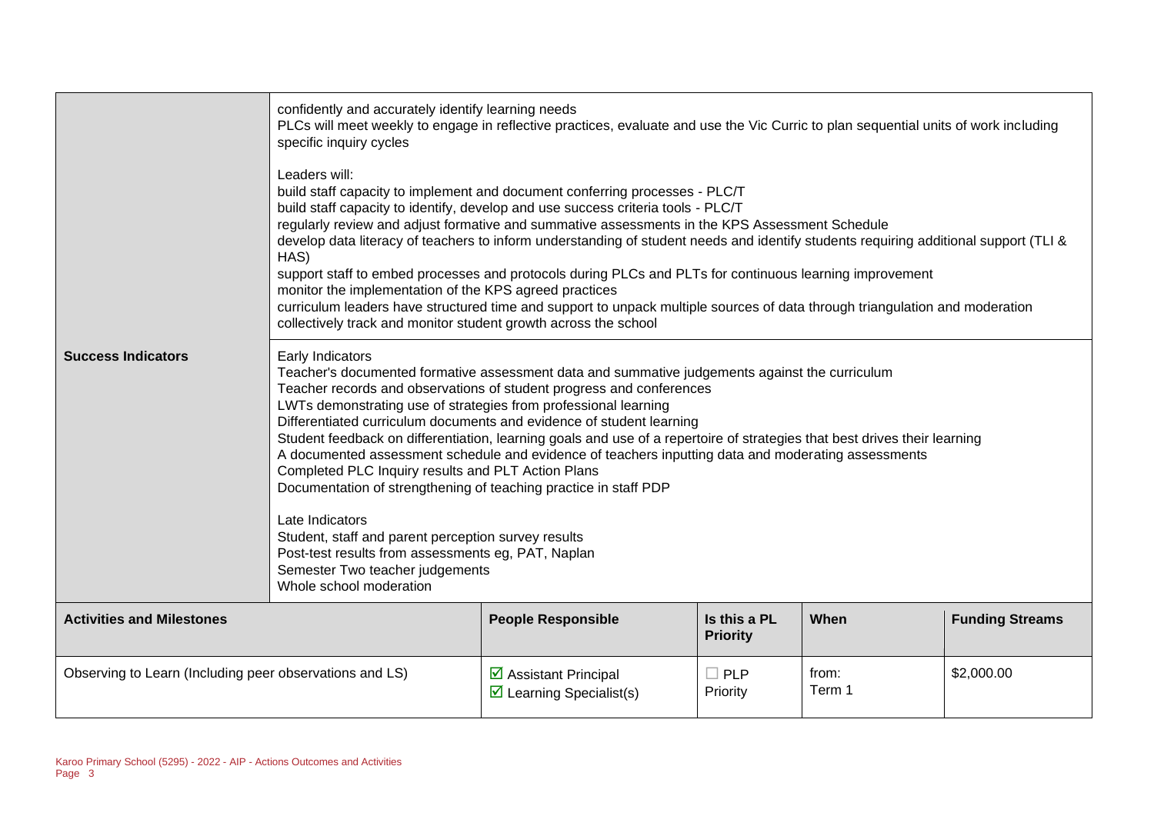|                                                         | confidently and accurately identify learning needs<br>PLCs will meet weekly to engage in reflective practices, evaluate and use the Vic Curric to plan sequential units of work including<br>specific inquiry cycles<br>Leaders will:<br>build staff capacity to implement and document conferring processes - PLC/T<br>build staff capacity to identify, develop and use success criteria tools - PLC/T<br>regularly review and adjust formative and summative assessments in the KPS Assessment Schedule<br>develop data literacy of teachers to inform understanding of student needs and identify students requiring additional support (TLI &<br>HAS)<br>support staff to embed processes and protocols during PLCs and PLTs for continuous learning improvement<br>monitor the implementation of the KPS agreed practices<br>curriculum leaders have structured time and support to unpack multiple sources of data through triangulation and moderation<br>collectively track and monitor student growth across the school |  |  |  |  |
|---------------------------------------------------------|-----------------------------------------------------------------------------------------------------------------------------------------------------------------------------------------------------------------------------------------------------------------------------------------------------------------------------------------------------------------------------------------------------------------------------------------------------------------------------------------------------------------------------------------------------------------------------------------------------------------------------------------------------------------------------------------------------------------------------------------------------------------------------------------------------------------------------------------------------------------------------------------------------------------------------------------------------------------------------------------------------------------------------------|--|--|--|--|
| <b>Success Indicators</b>                               | Early Indicators<br>Teacher's documented formative assessment data and summative judgements against the curriculum<br>Teacher records and observations of student progress and conferences<br>LWTs demonstrating use of strategies from professional learning<br>Differentiated curriculum documents and evidence of student learning<br>Student feedback on differentiation, learning goals and use of a repertoire of strategies that best drives their learning<br>A documented assessment schedule and evidence of teachers inputting data and moderating assessments<br>Completed PLC Inquiry results and PLT Action Plans<br>Documentation of strengthening of teaching practice in staff PDP<br>Late Indicators<br>Student, staff and parent perception survey results<br>Post-test results from assessments eg, PAT, Naplan<br>Semester Two teacher judgements<br>Whole school moderation                                                                                                                                 |  |  |  |  |
| <b>Activities and Milestones</b>                        | <b>People Responsible</b><br>Is this a PL<br>When<br><b>Funding Streams</b><br><b>Priority</b>                                                                                                                                                                                                                                                                                                                                                                                                                                                                                                                                                                                                                                                                                                                                                                                                                                                                                                                                    |  |  |  |  |
| Observing to Learn (Including peer observations and LS) | \$2,000.00<br>$\triangleright$ Assistant Principal<br>$\Box$ PLP<br>from:<br>Term 1<br>$\triangleright$ Learning Specialist(s)<br>Priority                                                                                                                                                                                                                                                                                                                                                                                                                                                                                                                                                                                                                                                                                                                                                                                                                                                                                        |  |  |  |  |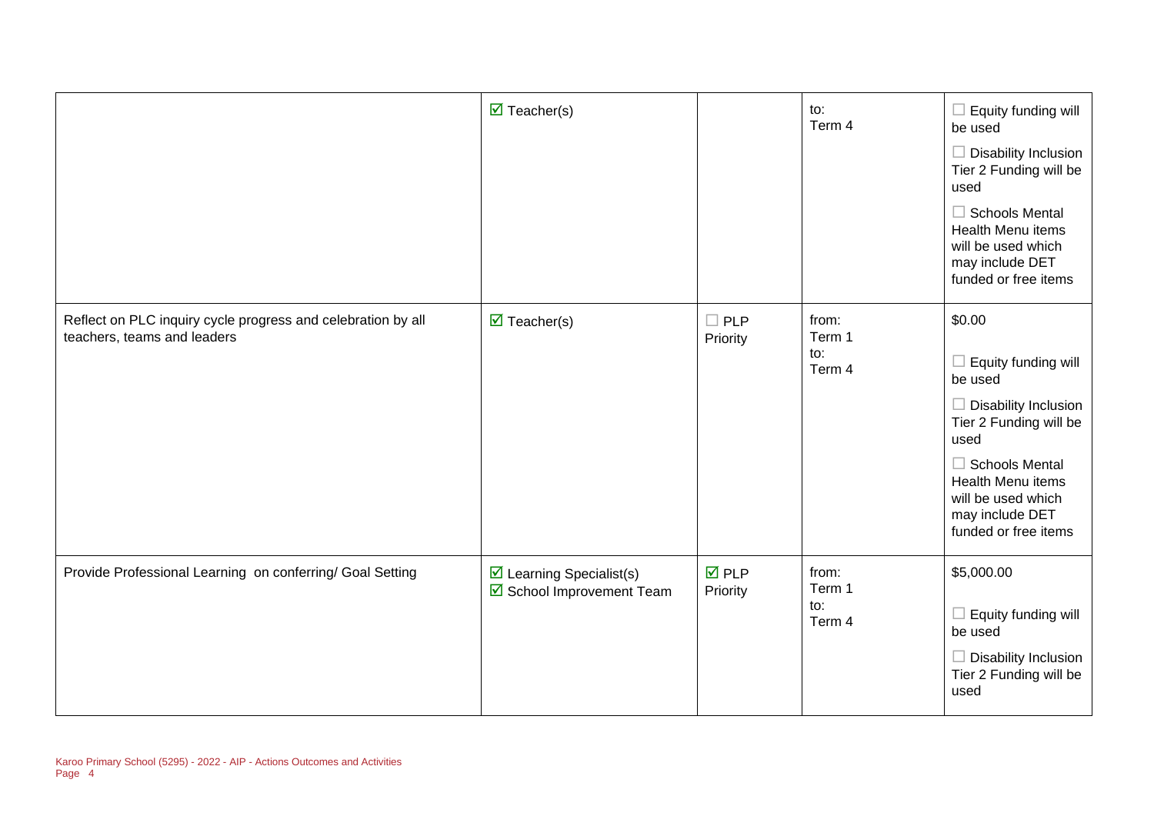|                                                                                             | $\overline{\mathbf{M}}$ Teacher(s)                                 |                                | to:<br>Term 4                    | Equity funding will<br>$\Box$<br>be used<br>Disability Inclusion<br>Tier 2 Funding will be<br>used<br>$\Box$ Schools Mental<br><b>Health Menu items</b><br>will be used which<br>may include DET<br>funded or free items           |
|---------------------------------------------------------------------------------------------|--------------------------------------------------------------------|--------------------------------|----------------------------------|------------------------------------------------------------------------------------------------------------------------------------------------------------------------------------------------------------------------------------|
| Reflect on PLC inquiry cycle progress and celebration by all<br>teachers, teams and leaders | $\overline{\mathbf{M}}$ Teacher(s)                                 | $\square$ PLP<br>Priority      | from:<br>Term 1<br>to:<br>Term 4 | \$0.00<br>Equity funding will<br>$\Box$<br>be used<br>Disability Inclusion<br>Tier 2 Funding will be<br>used<br>$\Box$ Schools Mental<br><b>Health Menu items</b><br>will be used which<br>may include DET<br>funded or free items |
| Provide Professional Learning on conferring/ Goal Setting                                   | $\triangleright$ Learning Specialist(s)<br>School Improvement Team | $\overline{M}$ PLP<br>Priority | from:<br>Term 1<br>to:<br>Term 4 | \$5,000.00<br>$\Box$ Equity funding will<br>be used<br>$\Box$ Disability Inclusion<br>Tier 2 Funding will be<br>used                                                                                                               |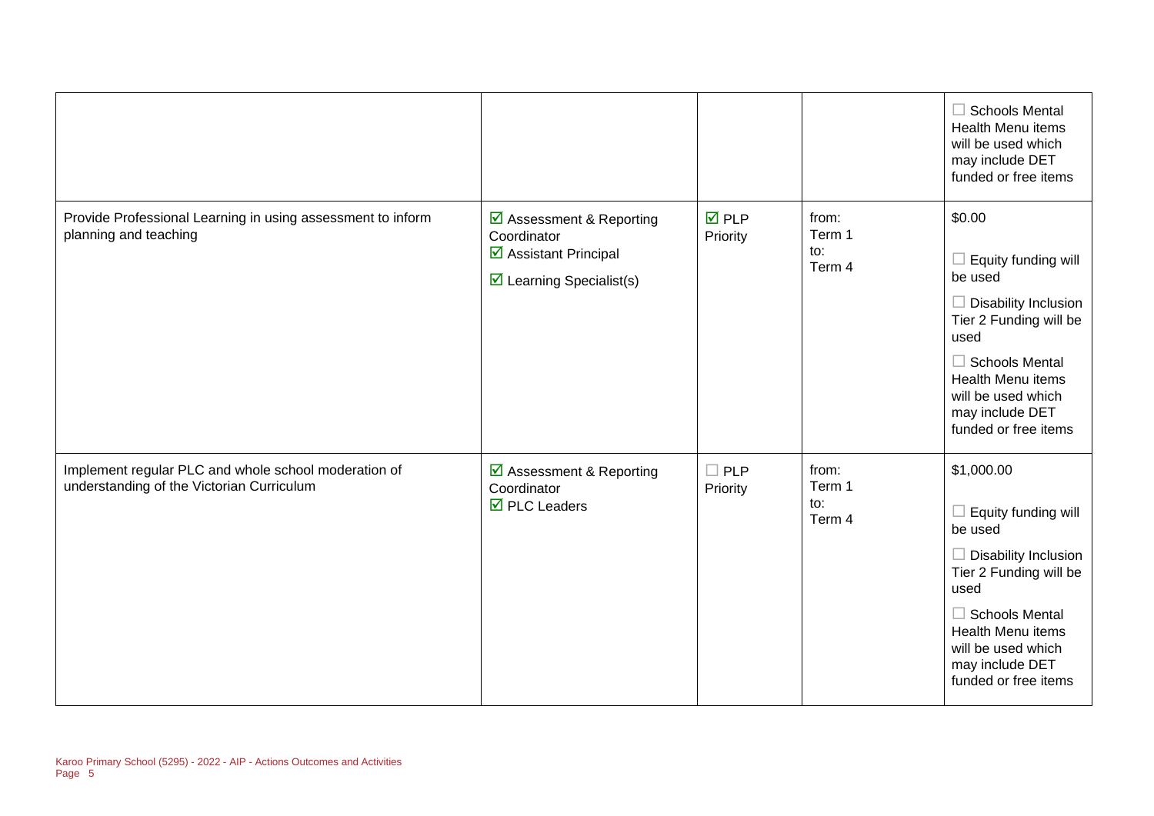|                                                                                                   |                                                                                                             |                          |                                  | $\Box$ Schools Mental<br>Health Menu items<br>will be used which<br>may include DET<br>funded or free items                                                                                                                                                 |
|---------------------------------------------------------------------------------------------------|-------------------------------------------------------------------------------------------------------------|--------------------------|----------------------------------|-------------------------------------------------------------------------------------------------------------------------------------------------------------------------------------------------------------------------------------------------------------|
| Provide Professional Learning in using assessment to inform<br>planning and teaching              | ☑ Assessment & Reporting<br>Coordinator<br>☑ Assistant Principal<br>$\triangleright$ Learning Specialist(s) | <b>☑</b> PLP<br>Priority | from:<br>Term 1<br>to:<br>Term 4 | \$0.00<br>Equity funding will<br>$\overline{\phantom{a}}$<br>be used<br>$\Box$ Disability Inclusion<br>Tier 2 Funding will be<br>used<br>$\Box$ Schools Mental<br><b>Health Menu items</b><br>will be used which<br>may include DET<br>funded or free items |
| Implement regular PLC and whole school moderation of<br>understanding of the Victorian Curriculum | ☑ Assessment & Reporting<br>Coordinator<br>$\overline{\boxtimes}$ PLC Leaders                               | $\Box$ PLP<br>Priority   | from:<br>Term 1<br>to:<br>Term 4 | \$1,000.00<br>Equity funding will<br>$\overline{\phantom{a}}$<br>be used<br>$\Box$ Disability Inclusion<br>Tier 2 Funding will be<br>used<br>$\Box$ Schools Mental<br>Health Menu items<br>will be used which<br>may include DET<br>funded or free items    |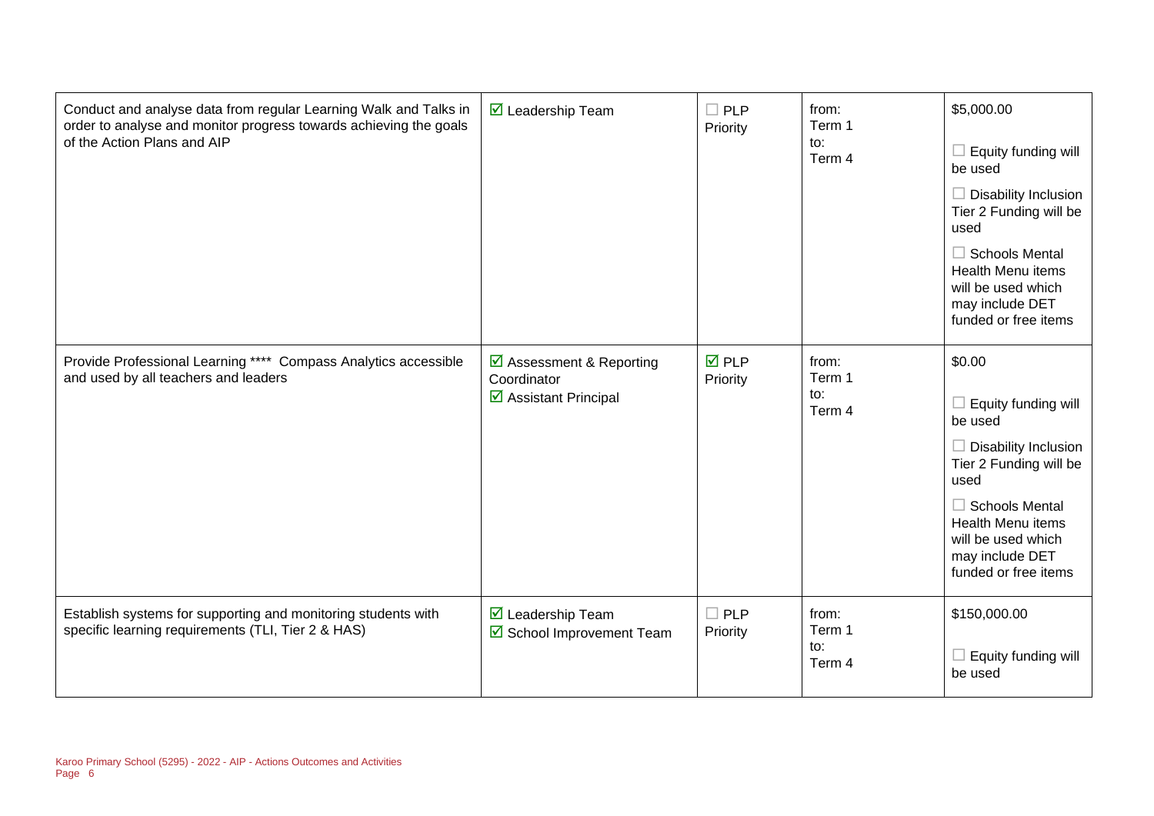| Conduct and analyse data from regular Learning Walk and Talks in<br>order to analyse and monitor progress towards achieving the goals<br>of the Action Plans and AIP | $\triangledown$ Leadership Team                                                 | $\Box$ PLP<br>Priority         | from:<br>Term 1<br>to:<br>Term 4 | \$5,000.00<br>Equity funding will<br>be used<br><b>Disability Inclusion</b><br>Tier 2 Funding will be<br>used<br><b>Schools Mental</b><br>Health Menu items<br>will be used which<br>may include DET<br>funded or free items |
|----------------------------------------------------------------------------------------------------------------------------------------------------------------------|---------------------------------------------------------------------------------|--------------------------------|----------------------------------|------------------------------------------------------------------------------------------------------------------------------------------------------------------------------------------------------------------------------|
| Provide Professional Learning **** Compass Analytics accessible<br>and used by all teachers and leaders                                                              | $\triangleright$ Assessment & Reporting<br>Coordinator<br>☑ Assistant Principal | $\overline{M}$ PLP<br>Priority | from:<br>Term 1<br>to:<br>Term 4 | \$0.00<br>Equity funding will<br>be used<br><b>Disability Inclusion</b><br>Tier 2 Funding will be<br>used<br>Schools Mental<br><b>Health Menu items</b><br>will be used which<br>may include DET<br>funded or free items     |
| Establish systems for supporting and monitoring students with<br>specific learning requirements (TLI, Tier 2 & HAS)                                                  | $\overline{\mathbf{M}}$ Leadership Team<br>☑ School Improvement Team            | $\Box$ PLP<br>Priority         | from:<br>Term 1<br>to:<br>Term 4 | \$150,000.00<br>Equity funding will<br>be used                                                                                                                                                                               |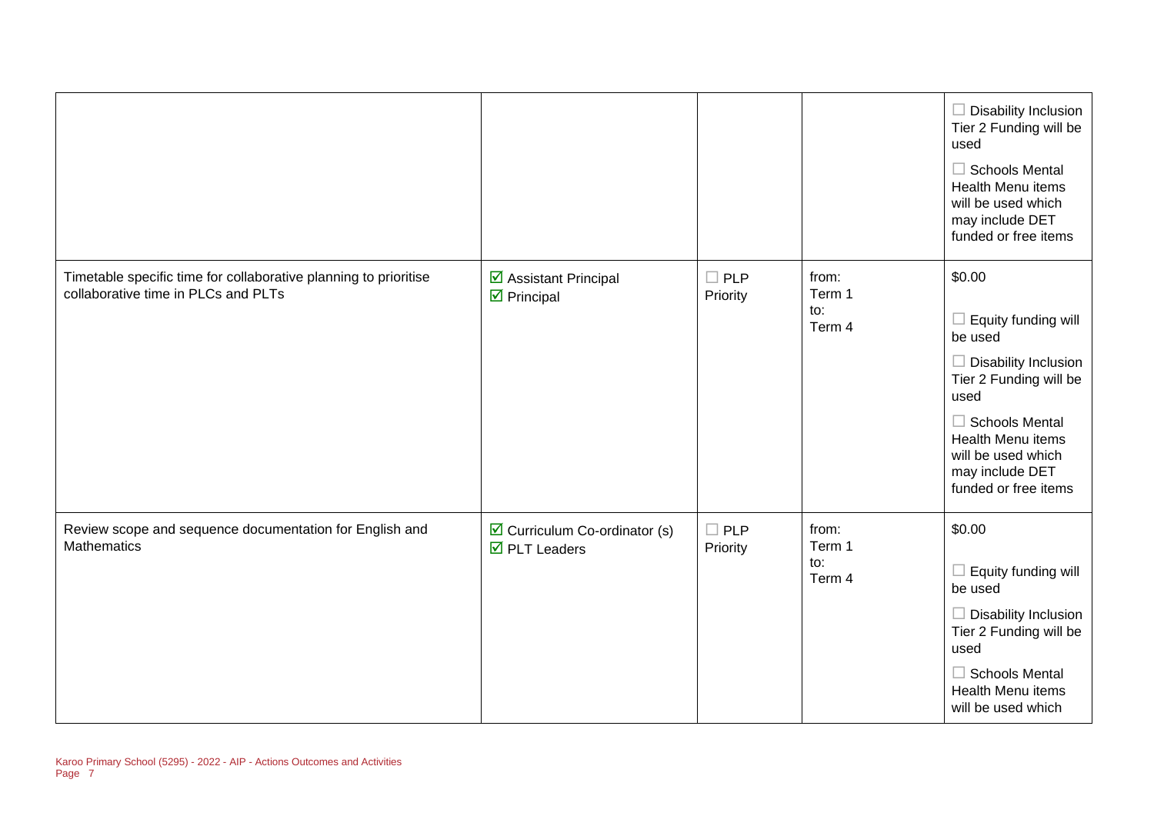|                                                                                                         |                                                                              |                           |                                  | $\Box$ Disability Inclusion<br>Tier 2 Funding will be<br>used<br>$\Box$ Schools Mental<br>Health Menu items<br>will be used which<br>may include DET<br>funded or free items                                                    |
|---------------------------------------------------------------------------------------------------------|------------------------------------------------------------------------------|---------------------------|----------------------------------|---------------------------------------------------------------------------------------------------------------------------------------------------------------------------------------------------------------------------------|
| Timetable specific time for collaborative planning to prioritise<br>collaborative time in PLCs and PLTs | $\overline{\mathbf{y}}$ Assistant Principal<br>$\triangleright$ Principal    | $\square$ PLP<br>Priority | from:<br>Term 1<br>to:<br>Term 4 | \$0.00<br>$\Box$ Equity funding will<br>be used<br>$\Box$ Disability Inclusion<br>Tier 2 Funding will be<br>used<br>$\Box$ Schools Mental<br>Health Menu items<br>will be used which<br>may include DET<br>funded or free items |
| Review scope and sequence documentation for English and<br><b>Mathematics</b>                           | $\boxdot$ Curriculum Co-ordinator (s)<br>$\overline{\mathbf{M}}$ PLT Leaders | $\square$ PLP<br>Priority | from:<br>Term 1<br>to:<br>Term 4 | \$0.00<br>$\Box$ Equity funding will<br>be used<br>$\Box$ Disability Inclusion<br>Tier 2 Funding will be<br>used<br>$\Box$ Schools Mental<br>Health Menu items<br>will be used which                                            |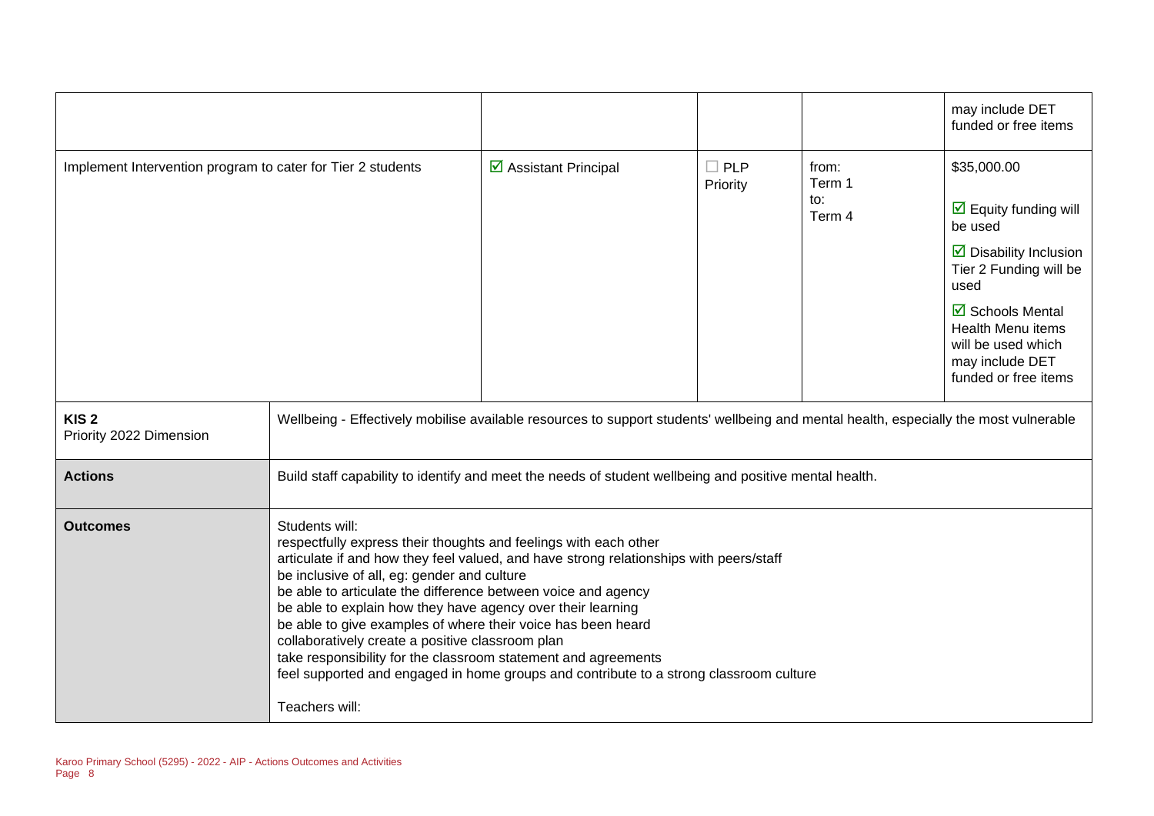|                                                             |                                                                                                                                                                                                                                                                                                                                                                                                                                                                                                                                                                                                                                                               |                                      |                           |                                  | may include DET<br>funded or free items                                                                                                                                                                                                                              |
|-------------------------------------------------------------|---------------------------------------------------------------------------------------------------------------------------------------------------------------------------------------------------------------------------------------------------------------------------------------------------------------------------------------------------------------------------------------------------------------------------------------------------------------------------------------------------------------------------------------------------------------------------------------------------------------------------------------------------------------|--------------------------------------|---------------------------|----------------------------------|----------------------------------------------------------------------------------------------------------------------------------------------------------------------------------------------------------------------------------------------------------------------|
| Implement Intervention program to cater for Tier 2 students |                                                                                                                                                                                                                                                                                                                                                                                                                                                                                                                                                                                                                                                               | $\triangleright$ Assistant Principal | $\square$ PLP<br>Priority | from:<br>Term 1<br>to:<br>Term 4 | \$35,000.00<br>$\overline{\mathbf{M}}$ Equity funding will<br>be used<br>$\triangleright$ Disability Inclusion<br>Tier 2 Funding will be<br>used<br>$\boxtimes$ Schools Mental<br>Health Menu items<br>will be used which<br>may include DET<br>funded or free items |
| KIS <sub>2</sub><br>Priority 2022 Dimension                 | Wellbeing - Effectively mobilise available resources to support students' wellbeing and mental health, especially the most vulnerable                                                                                                                                                                                                                                                                                                                                                                                                                                                                                                                         |                                      |                           |                                  |                                                                                                                                                                                                                                                                      |
| <b>Actions</b>                                              | Build staff capability to identify and meet the needs of student wellbeing and positive mental health.                                                                                                                                                                                                                                                                                                                                                                                                                                                                                                                                                        |                                      |                           |                                  |                                                                                                                                                                                                                                                                      |
| <b>Outcomes</b>                                             | Students will:<br>respectfully express their thoughts and feelings with each other<br>articulate if and how they feel valued, and have strong relationships with peers/staff<br>be inclusive of all, eg: gender and culture<br>be able to articulate the difference between voice and agency<br>be able to explain how they have agency over their learning<br>be able to give examples of where their voice has been heard<br>collaboratively create a positive classroom plan<br>take responsibility for the classroom statement and agreements<br>feel supported and engaged in home groups and contribute to a strong classroom culture<br>Teachers will: |                                      |                           |                                  |                                                                                                                                                                                                                                                                      |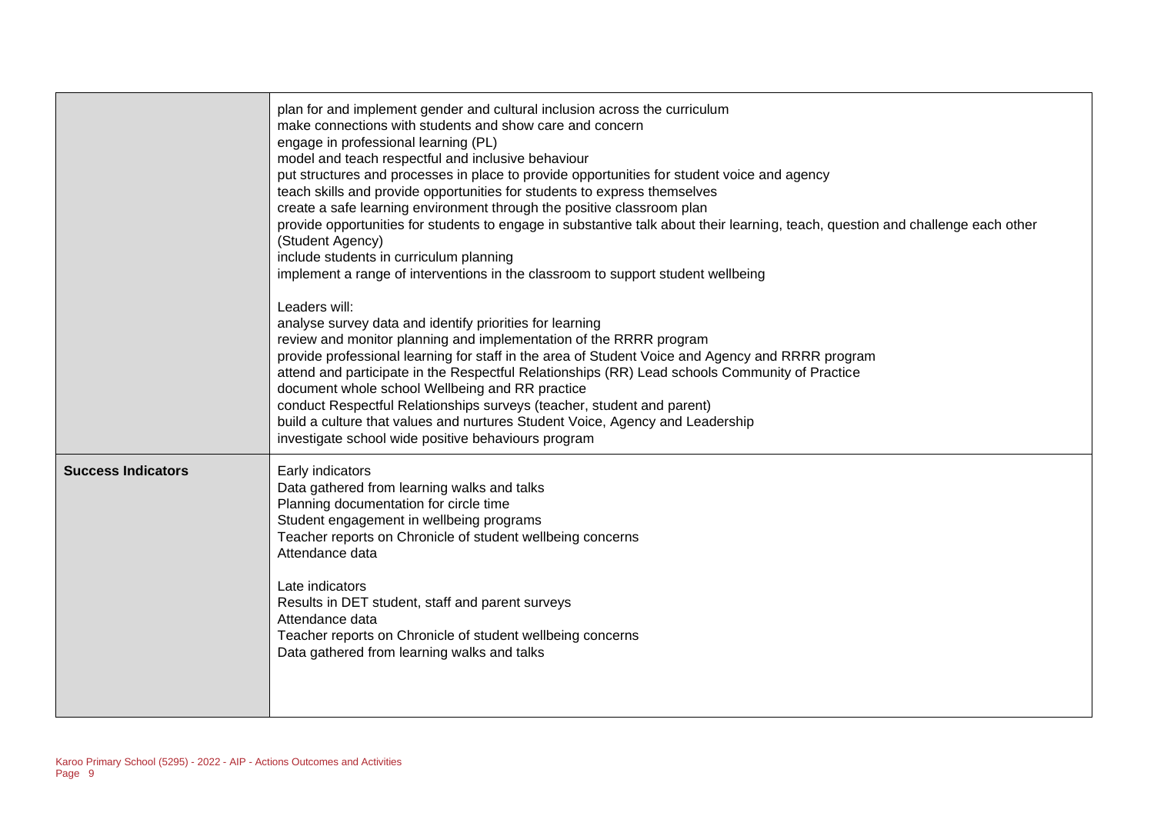|                           | plan for and implement gender and cultural inclusion across the curriculum<br>make connections with students and show care and concern<br>engage in professional learning (PL)<br>model and teach respectful and inclusive behaviour<br>put structures and processes in place to provide opportunities for student voice and agency<br>teach skills and provide opportunities for students to express themselves<br>create a safe learning environment through the positive classroom plan<br>provide opportunities for students to engage in substantive talk about their learning, teach, question and challenge each other<br>(Student Agency)<br>include students in curriculum planning<br>implement a range of interventions in the classroom to support student wellbeing |
|---------------------------|----------------------------------------------------------------------------------------------------------------------------------------------------------------------------------------------------------------------------------------------------------------------------------------------------------------------------------------------------------------------------------------------------------------------------------------------------------------------------------------------------------------------------------------------------------------------------------------------------------------------------------------------------------------------------------------------------------------------------------------------------------------------------------|
|                           | Leaders will:<br>analyse survey data and identify priorities for learning<br>review and monitor planning and implementation of the RRRR program<br>provide professional learning for staff in the area of Student Voice and Agency and RRRR program<br>attend and participate in the Respectful Relationships (RR) Lead schools Community of Practice<br>document whole school Wellbeing and RR practice<br>conduct Respectful Relationships surveys (teacher, student and parent)<br>build a culture that values and nurtures Student Voice, Agency and Leadership<br>investigate school wide positive behaviours program                                                                                                                                                       |
| <b>Success Indicators</b> | Early indicators<br>Data gathered from learning walks and talks<br>Planning documentation for circle time<br>Student engagement in wellbeing programs<br>Teacher reports on Chronicle of student wellbeing concerns<br>Attendance data<br>Late indicators<br>Results in DET student, staff and parent surveys<br>Attendance data<br>Teacher reports on Chronicle of student wellbeing concerns<br>Data gathered from learning walks and talks                                                                                                                                                                                                                                                                                                                                    |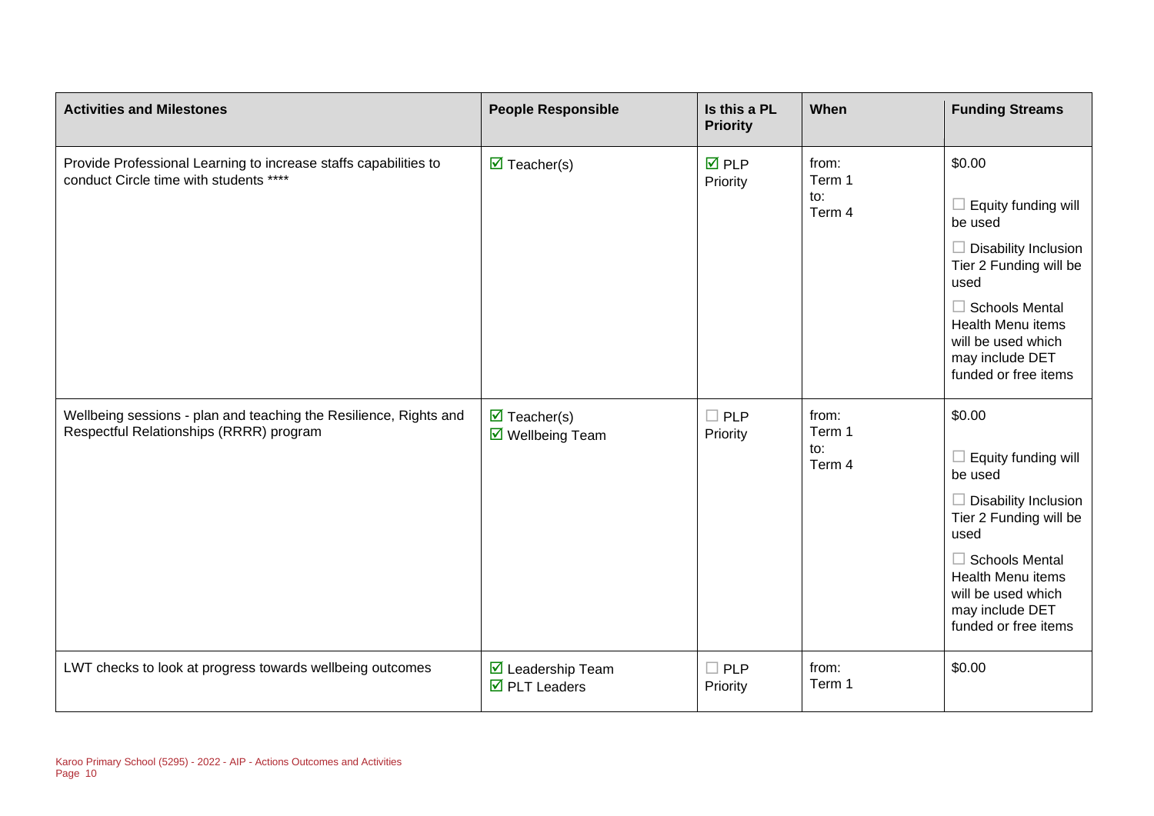| <b>Activities and Milestones</b>                                                                             | <b>People Responsible</b>                                              | Is this a PL<br><b>Priority</b> | When                             | <b>Funding Streams</b>                                                                                                                                                                                                                 |
|--------------------------------------------------------------------------------------------------------------|------------------------------------------------------------------------|---------------------------------|----------------------------------|----------------------------------------------------------------------------------------------------------------------------------------------------------------------------------------------------------------------------------------|
| Provide Professional Learning to increase staffs capabilities to<br>conduct Circle time with students ****   | $\overline{\mathbf{M}}$ Teacher(s)                                     | $\overline{M}$ PLP<br>Priority  | from:<br>Term 1<br>to:<br>Term 4 | \$0.00<br>$\Box$ Equity funding will<br>be used<br>$\Box$ Disability Inclusion<br>Tier 2 Funding will be<br>used<br>$\Box$ Schools Mental<br><b>Health Menu items</b><br>will be used which<br>may include DET<br>funded or free items |
| Wellbeing sessions - plan and teaching the Resilience, Rights and<br>Respectful Relationships (RRRR) program | $\overline{\mathbf{M}}$ Teacher(s)<br>☑ Wellbeing Team                 | $\square$ PLP<br>Priority       | from:<br>Term 1<br>to:<br>Term 4 | \$0.00<br>$\Box$ Equity funding will<br>be used<br>$\Box$ Disability Inclusion<br>Tier 2 Funding will be<br>used<br>□ Schools Mental<br><b>Health Menu items</b><br>will be used which<br>may include DET<br>funded or free items      |
| LWT checks to look at progress towards wellbeing outcomes                                                    | $\triangledown$ Leadership Team<br>$\overline{\mathbf{M}}$ PLT Leaders | <b>PLP</b><br>Priority          | from:<br>Term 1                  | \$0.00                                                                                                                                                                                                                                 |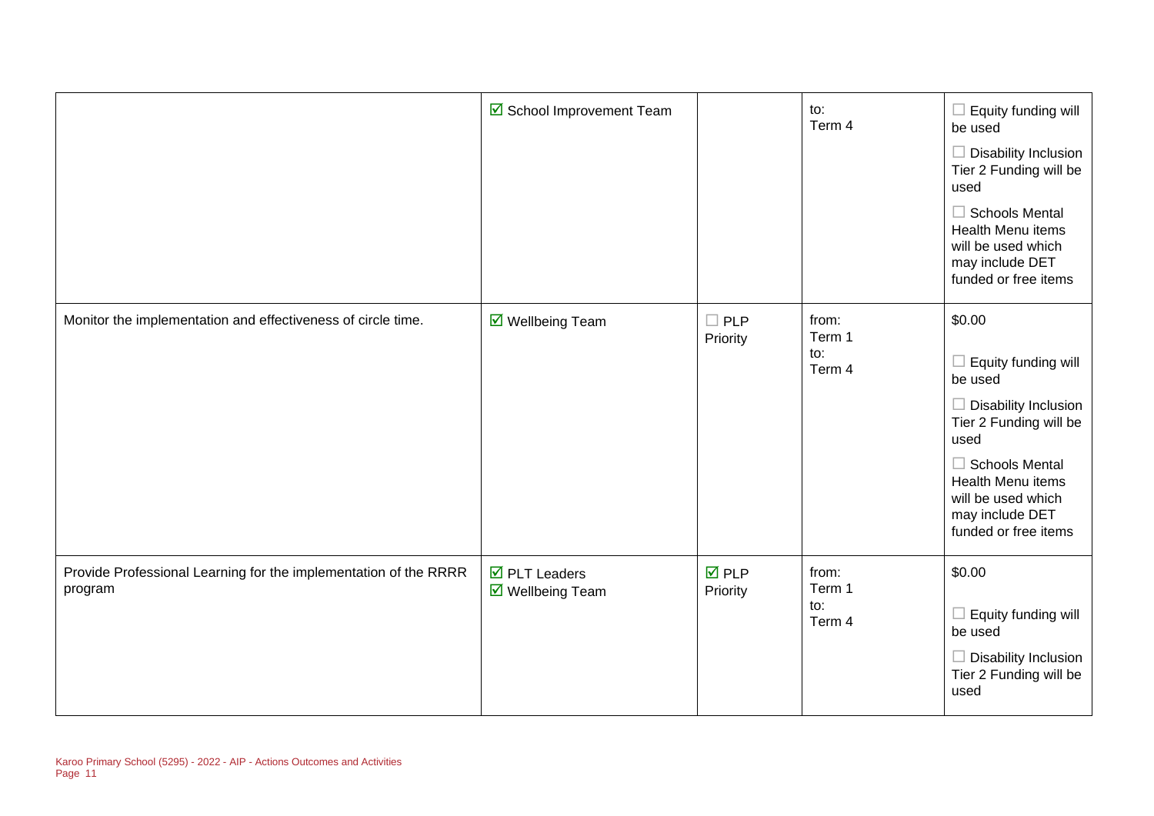|                                                                             | School Improvement Team                                 |                                | to:<br>Term 4                    | $\Box$ Equity funding will<br>be used<br>Disability Inclusion<br>$\Box$<br>Tier 2 Funding will be<br>used<br>$\Box$ Schools Mental<br>Health Menu items<br>will be used which<br>may include DET<br>funded or free items      |
|-----------------------------------------------------------------------------|---------------------------------------------------------|--------------------------------|----------------------------------|-------------------------------------------------------------------------------------------------------------------------------------------------------------------------------------------------------------------------------|
| Monitor the implementation and effectiveness of circle time.                | ☑ Wellbeing Team                                        | $\Box$ PLP<br>Priority         | from:<br>Term 1<br>to:<br>Term 4 | \$0.00<br>Equity funding will<br>⊔<br>be used<br>$\Box$ Disability Inclusion<br>Tier 2 Funding will be<br>used<br>$\Box$ Schools Mental<br>Health Menu items<br>will be used which<br>may include DET<br>funded or free items |
| Provide Professional Learning for the implementation of the RRRR<br>program | $\overline{\mathbf{M}}$ PLT Leaders<br>■ Wellbeing Team | $\overline{M}$ PLP<br>Priority | from:<br>Term 1<br>to:<br>Term 4 | \$0.00<br>$\Box$ Equity funding will<br>be used<br>$\Box$ Disability Inclusion<br>Tier 2 Funding will be<br>used                                                                                                              |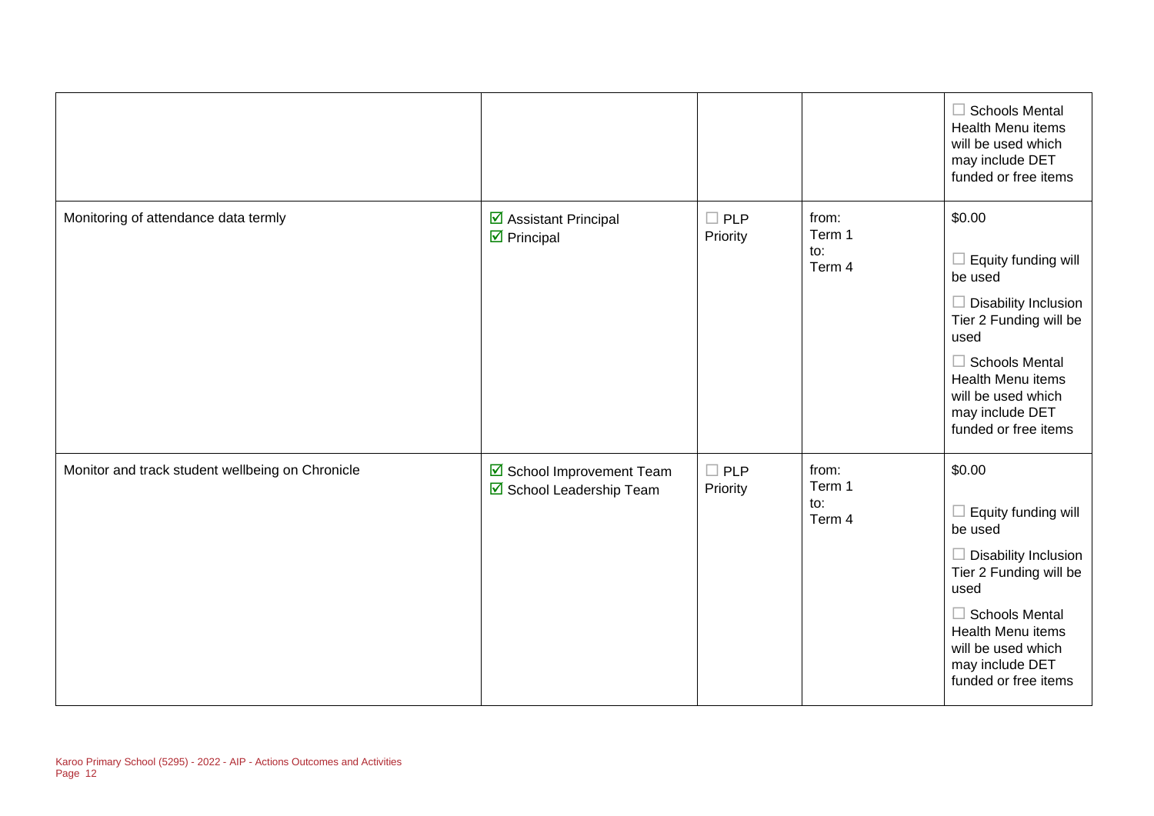|                                                  |                                                     |                        |                                  | $\Box$ Schools Mental<br>Health Menu items<br>will be used which<br>may include DET<br>funded or free items                                                                                                                        |
|--------------------------------------------------|-----------------------------------------------------|------------------------|----------------------------------|------------------------------------------------------------------------------------------------------------------------------------------------------------------------------------------------------------------------------------|
| Monitoring of attendance data termly             | ☑ Assistant Principal<br>$\triangleright$ Principal | $\Box$ PLP<br>Priority | from:<br>Term 1<br>to:<br>Term 4 | \$0.00<br>Equity funding will<br>ш<br>be used<br>$\Box$ Disability Inclusion<br>Tier 2 Funding will be<br>used<br>$\Box$ Schools Mental<br>Health Menu items<br>will be used which<br>may include DET<br>funded or free items      |
| Monitor and track student wellbeing on Chronicle | School Improvement Team<br>☑ School Leadership Team | $\Box$ PLP<br>Priority | from:<br>Term 1<br>to:<br>Term 4 | \$0.00<br>Equity funding will<br>$\Box$<br>be used<br>$\Box$ Disability Inclusion<br>Tier 2 Funding will be<br>used<br>$\Box$ Schools Mental<br>Health Menu items<br>will be used which<br>may include DET<br>funded or free items |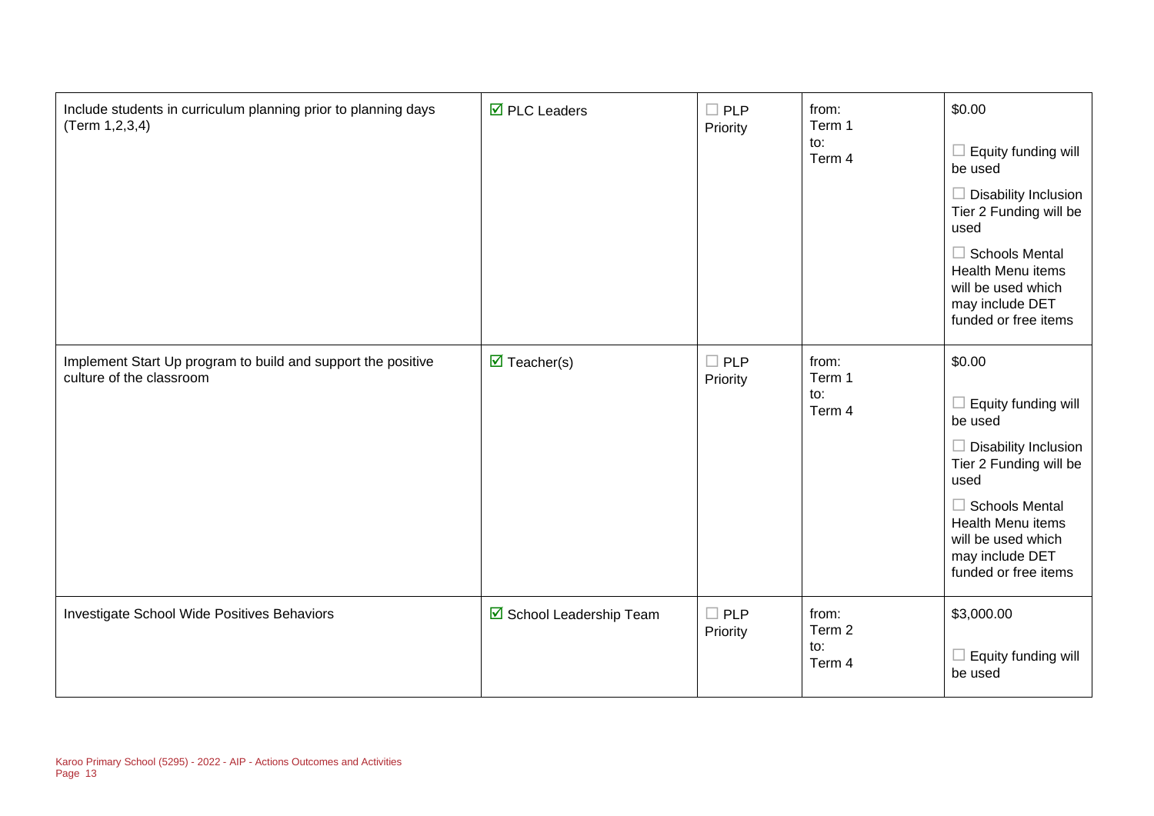| Include students in curriculum planning prior to planning days<br>(Term 1,2,3,4)         | $\triangleright$ PLC Leaders | $\Box$ PLP<br>Priority    | from:<br>Term 1<br>to:<br>Term 4 | \$0.00<br>$\Box$ Equity funding will<br>be used<br>$\Box$ Disability Inclusion<br>Tier 2 Funding will be<br>used<br>$\Box$ Schools Mental<br>Health Menu items<br>will be used which<br>may include DET<br>funded or free items |
|------------------------------------------------------------------------------------------|------------------------------|---------------------------|----------------------------------|---------------------------------------------------------------------------------------------------------------------------------------------------------------------------------------------------------------------------------|
| Implement Start Up program to build and support the positive<br>culture of the classroom | $\triangledown$ Teacher(s)   | $\Box$ PLP<br>Priority    | from:<br>Term 1<br>to:<br>Term 4 | \$0.00<br>$\Box$ Equity funding will<br>be used<br>$\Box$ Disability Inclusion<br>Tier 2 Funding will be<br>used<br>$\Box$ Schools Mental<br>Health Menu items<br>will be used which<br>may include DET<br>funded or free items |
| Investigate School Wide Positives Behaviors                                              | ☑ School Leadership Team     | $\square$ PLP<br>Priority | from:<br>Term 2<br>to:<br>Term 4 | \$3,000.00<br>$\Box$ Equity funding will<br>be used                                                                                                                                                                             |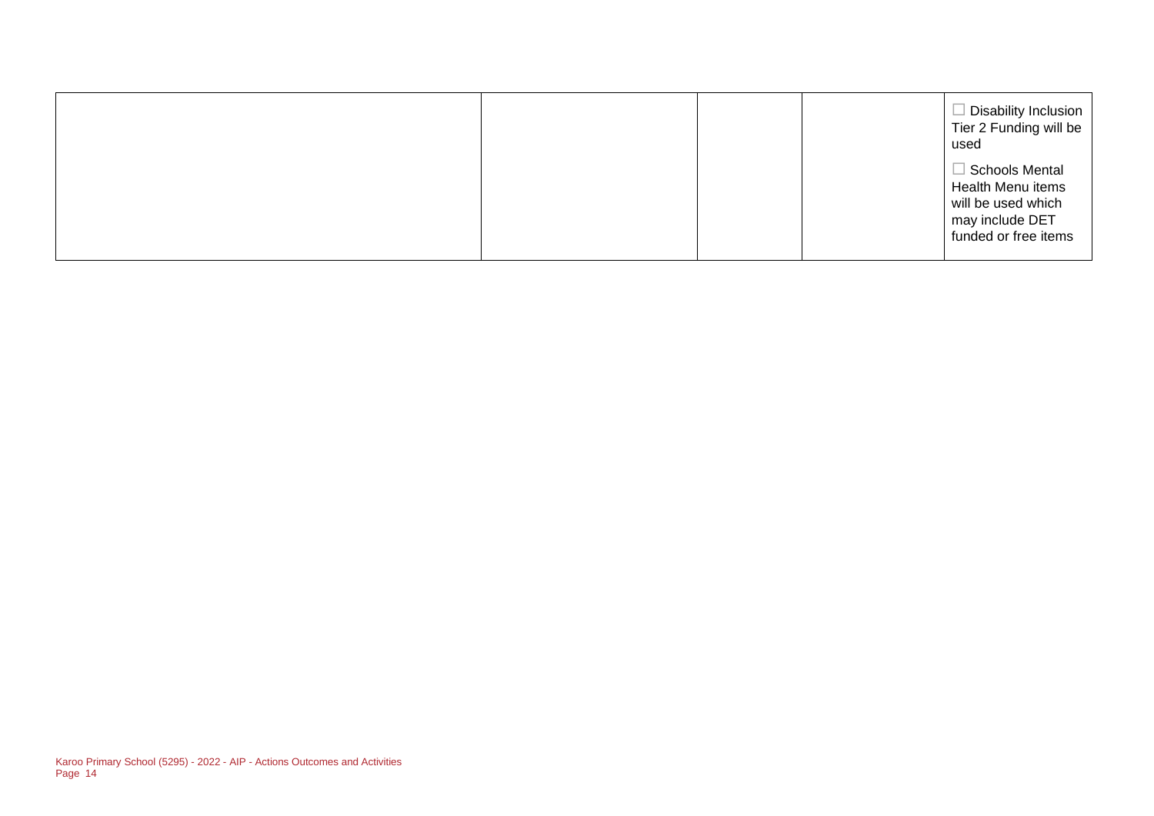|  |  | Disability Inclusion<br>Tier 2 Funding will be<br>used                                               |
|--|--|------------------------------------------------------------------------------------------------------|
|  |  | Schools Mental<br>Health Menu items<br>will be used which<br>may include DET<br>funded or free items |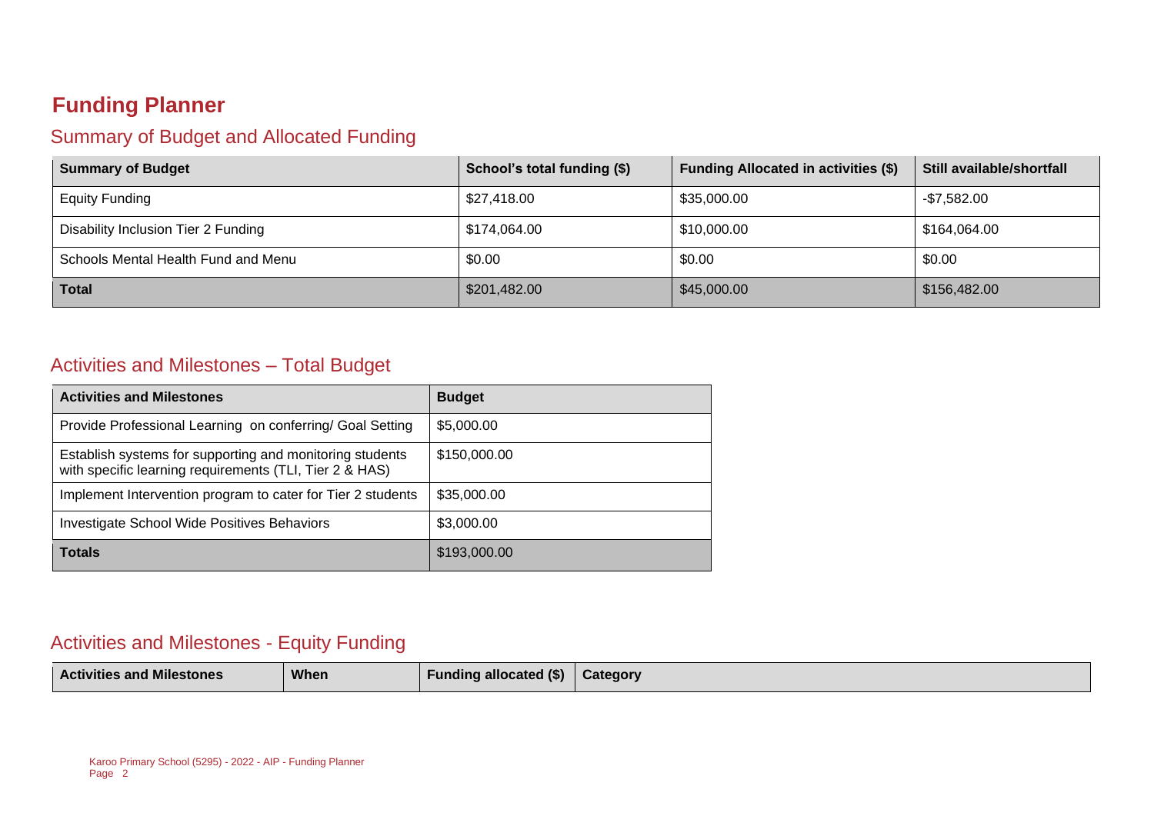## **Funding Planner**

### Summary of Budget and Allocated Funding

| <b>Summary of Budget</b>            | School's total funding (\$) | <b>Funding Allocated in activities (\$)</b> | Still available/shortfall |
|-------------------------------------|-----------------------------|---------------------------------------------|---------------------------|
| <b>Equity Funding</b>               | \$27,418.00                 | \$35,000.00                                 | $-$7,582.00$              |
| Disability Inclusion Tier 2 Funding | \$174,064.00                | \$10,000.00                                 | \$164,064.00              |
| Schools Mental Health Fund and Menu | \$0.00                      | \$0.00                                      | \$0.00                    |
| <b>Total</b>                        | \$201,482.00                | \$45,000.00                                 | \$156,482.00              |

#### Activities and Milestones – Total Budget

| <b>Activities and Milestones</b>                                                                                    | <b>Budget</b> |
|---------------------------------------------------------------------------------------------------------------------|---------------|
| Provide Professional Learning on conferring/ Goal Setting                                                           | \$5,000.00    |
| Establish systems for supporting and monitoring students<br>with specific learning requirements (TLI, Tier 2 & HAS) | \$150,000.00  |
| Implement Intervention program to cater for Tier 2 students                                                         | \$35,000.00   |
| <b>Investigate School Wide Positives Behaviors</b>                                                                  | \$3,000.00    |
| <b>Totals</b>                                                                                                       | \$193,000.00  |

### Activities and Milestones - Equity Funding

| <b>Activities and Milestones</b> | <b>When</b> | Funding allocated (\$) | Category |
|----------------------------------|-------------|------------------------|----------|
|----------------------------------|-------------|------------------------|----------|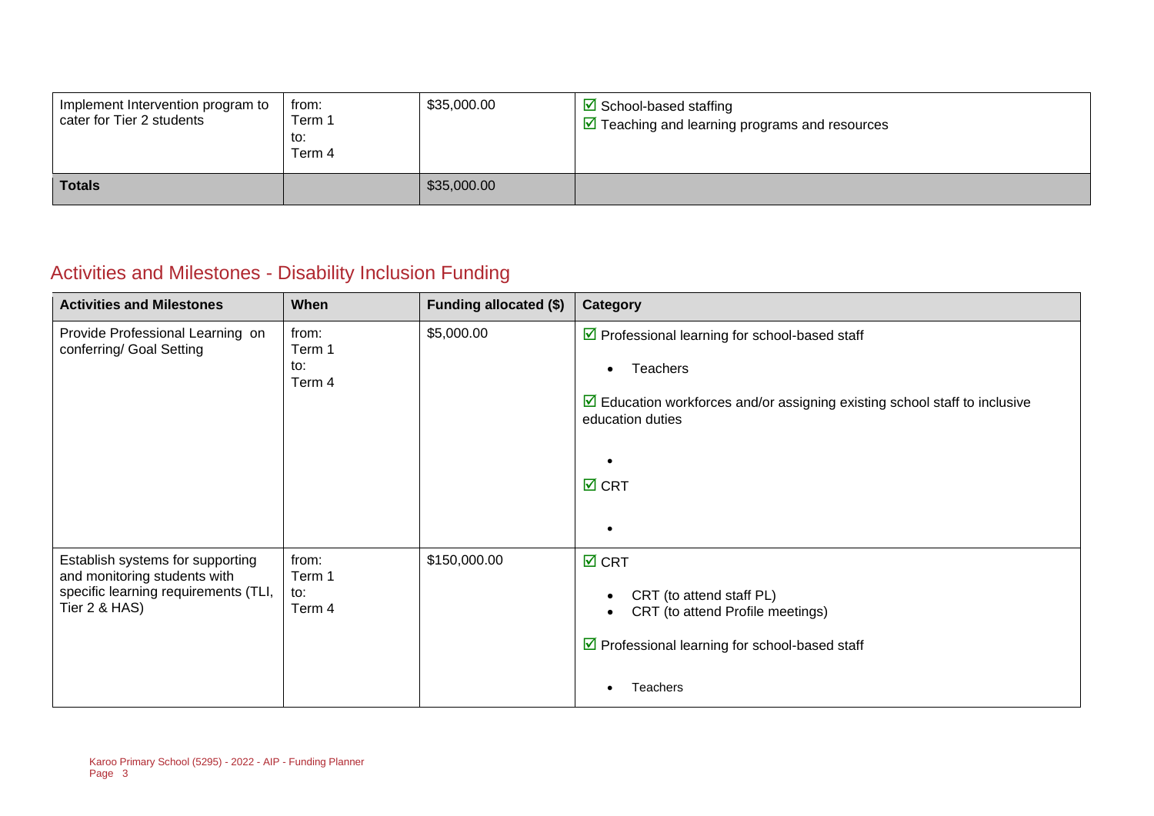| Implement Intervention program to<br>cater for Tier 2 students | from:<br>Term 1<br>to:<br>Term 4 | \$35,000.00 | $\boxtimes$ School-based staffing<br>$\triangledown$ Teaching and learning programs and resources |
|----------------------------------------------------------------|----------------------------------|-------------|---------------------------------------------------------------------------------------------------|
| <b>Totals</b>                                                  |                                  | \$35,000.00 |                                                                                                   |

### Activities and Milestones - Disability Inclusion Funding

| <b>Activities and Milestones</b>                                                                                          | When                             | <b>Funding allocated (\$)</b> | <b>Category</b>                                                                                                                                                                                                                    |
|---------------------------------------------------------------------------------------------------------------------------|----------------------------------|-------------------------------|------------------------------------------------------------------------------------------------------------------------------------------------------------------------------------------------------------------------------------|
| Provide Professional Learning on<br>conferring/ Goal Setting                                                              | from:<br>Term 1<br>to:<br>Term 4 | \$5,000.00                    | ☑ Professional learning for school-based staff<br><b>Teachers</b><br>$\bullet$<br>$\triangleright$ Education workforces and/or assigning existing school staff to inclusive<br>education duties<br>$\overline{M}$ CRT<br>$\bullet$ |
| Establish systems for supporting<br>and monitoring students with<br>specific learning requirements (TLI,<br>Tier 2 & HAS) | from:<br>Term 1<br>to:<br>Term 4 | \$150,000.00                  | $\overline{M}$ CRT<br>CRT (to attend staff PL)<br>$\bullet$<br>CRT (to attend Profile meetings)<br>$\bullet$<br>☑ Professional learning for school-based staff<br>Teachers<br>$\bullet$                                            |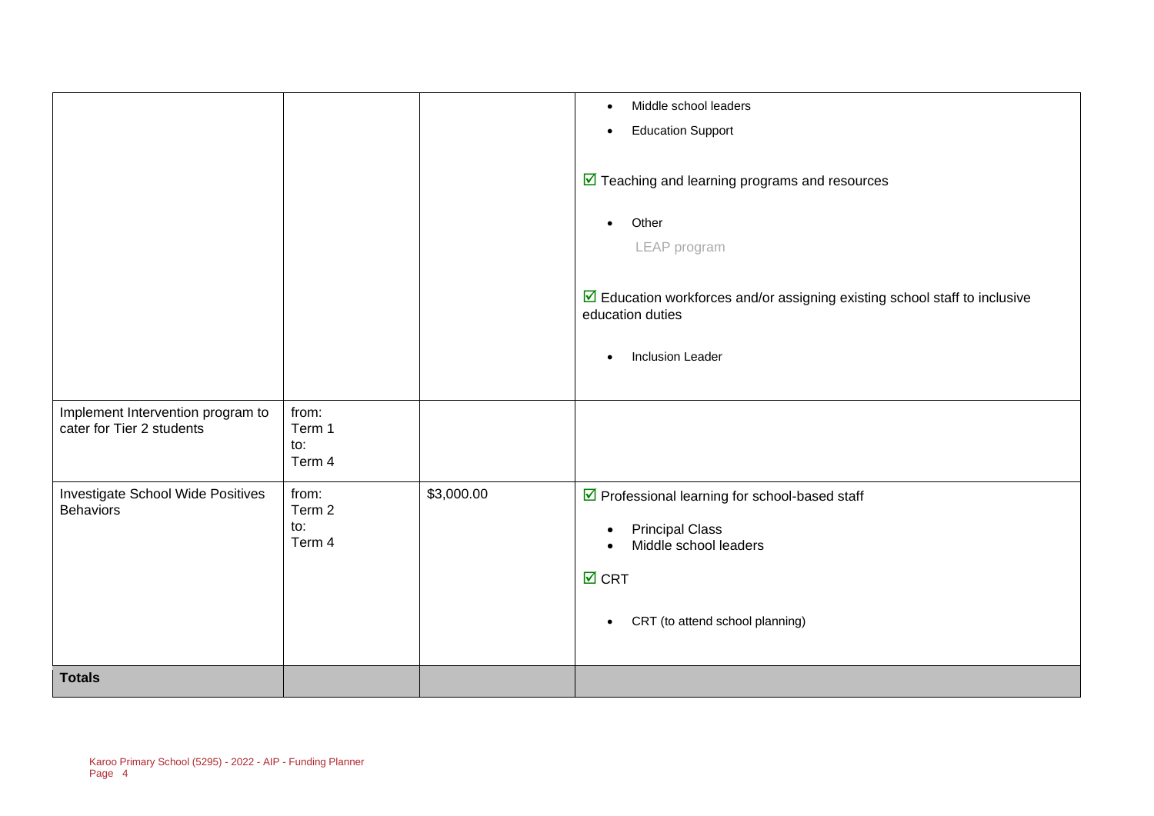|                                                       |                 |            | Middle school leaders<br>$\bullet$                                                        |
|-------------------------------------------------------|-----------------|------------|-------------------------------------------------------------------------------------------|
|                                                       |                 |            | <b>Education Support</b><br>$\bullet$                                                     |
|                                                       |                 |            |                                                                                           |
|                                                       |                 |            | Teaching and learning programs and resources                                              |
|                                                       |                 |            |                                                                                           |
|                                                       |                 |            | Other<br>$\bullet$                                                                        |
|                                                       |                 |            | LEAP program                                                                              |
|                                                       |                 |            |                                                                                           |
|                                                       |                 |            | $\triangleright$ Education workforces and/or assigning existing school staff to inclusive |
|                                                       |                 |            | education duties                                                                          |
|                                                       |                 |            |                                                                                           |
|                                                       |                 |            | Inclusion Leader<br>$\bullet$                                                             |
|                                                       |                 |            |                                                                                           |
| Implement Intervention program to                     | from:           |            |                                                                                           |
| cater for Tier 2 students                             | Term 1          |            |                                                                                           |
|                                                       | to:<br>Term 4   |            |                                                                                           |
|                                                       |                 |            |                                                                                           |
| Investigate School Wide Positives<br><b>Behaviors</b> | from:<br>Term 2 | \$3,000.00 | ☑ Professional learning for school-based staff                                            |
|                                                       | to:             |            | <b>Principal Class</b><br>$\bullet$                                                       |
|                                                       | Term 4          |            | Middle school leaders                                                                     |
|                                                       |                 |            | $\boxtimes$ CRT                                                                           |
|                                                       |                 |            |                                                                                           |
|                                                       |                 |            | CRT (to attend school planning)<br>$\bullet$                                              |
|                                                       |                 |            |                                                                                           |
| <b>Totals</b>                                         |                 |            |                                                                                           |
|                                                       |                 |            |                                                                                           |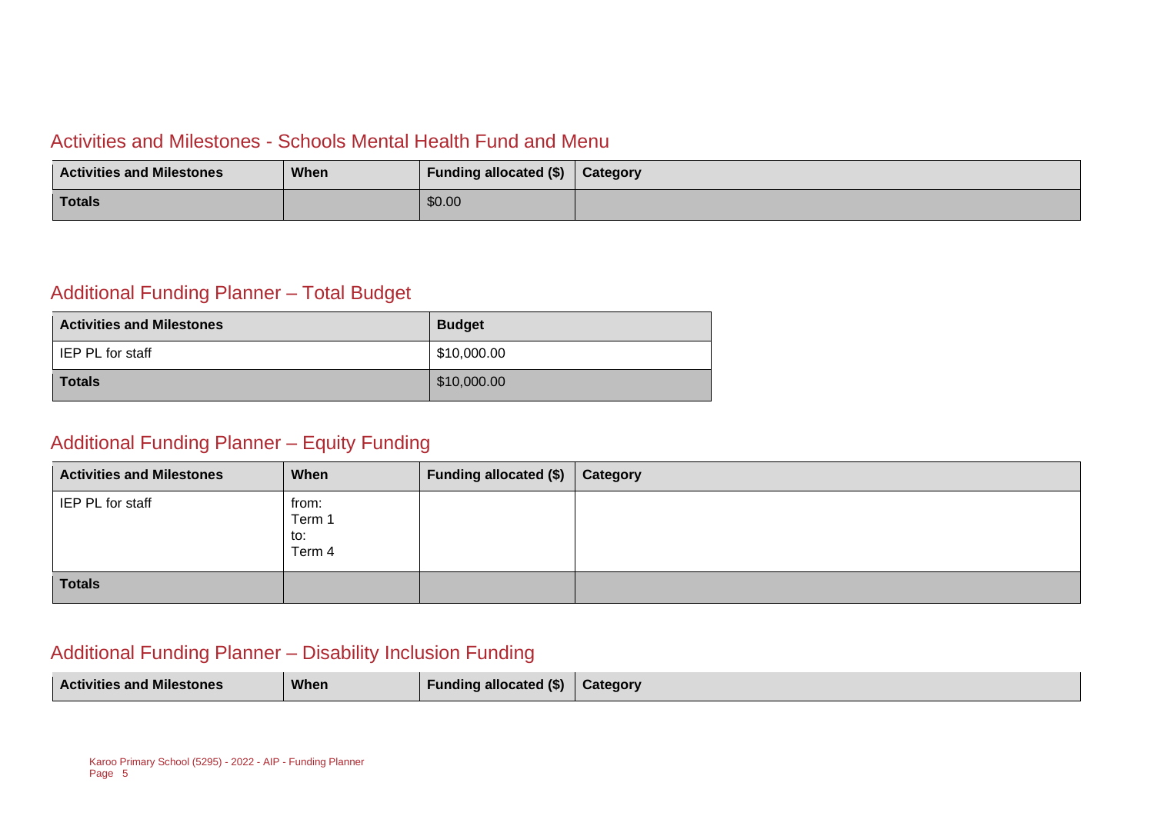#### Activities and Milestones - Schools Mental Health Fund and Menu

| <b>Activities and Milestones</b> | When | Funding allocated (\$) | Category |
|----------------------------------|------|------------------------|----------|
| <b>Totals</b>                    |      | \$0.00                 |          |

### Additional Funding Planner – Total Budget

| <b>Activities and Milestones</b> | <b>Budget</b> |
|----------------------------------|---------------|
| IEP PL for staff                 | \$10,000.00   |
| <b>Totals</b>                    | \$10,000.00   |

#### Additional Funding Planner – Equity Funding

| <b>Activities and Milestones</b> | When                             | Funding allocated (\$) | Category |
|----------------------------------|----------------------------------|------------------------|----------|
| IEP PL for staff                 | from:<br>Term 1<br>to:<br>Term 4 |                        |          |
| <b>Totals</b>                    |                                  |                        |          |

#### Additional Funding Planner – Disability Inclusion Funding

| <b>Activities and Milestones</b> | When | <b>Funding allocated (\$)</b> | Category |
|----------------------------------|------|-------------------------------|----------|
|----------------------------------|------|-------------------------------|----------|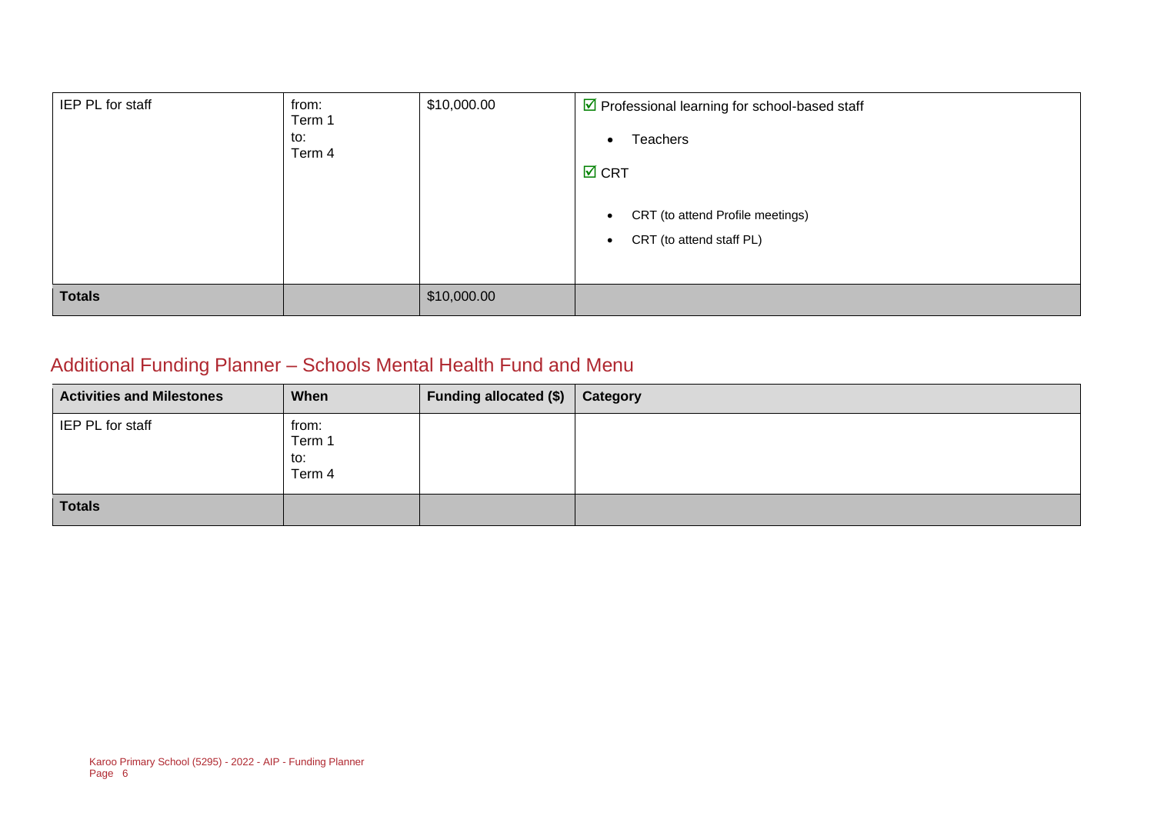| IEP PL for staff | from:<br>Term 1<br>to:<br>Term 4 | \$10,000.00 | ☑ Professional learning for school-based staff<br>Teachers<br>$\bullet$<br>$\overline{M}$ CRT<br>CRT (to attend Profile meetings)<br>$\bullet$<br>CRT (to attend staff PL)<br>$\bullet$ |
|------------------|----------------------------------|-------------|-----------------------------------------------------------------------------------------------------------------------------------------------------------------------------------------|
| <b>Totals</b>    |                                  | \$10,000.00 |                                                                                                                                                                                         |

### Additional Funding Planner – Schools Mental Health Fund and Menu

| <b>Activities and Milestones</b> | When                             | <b>Funding allocated (\$)</b> | Category |
|----------------------------------|----------------------------------|-------------------------------|----------|
| IEP PL for staff                 | from:<br>Term 1<br>to:<br>Term 4 |                               |          |
| <b>Totals</b>                    |                                  |                               |          |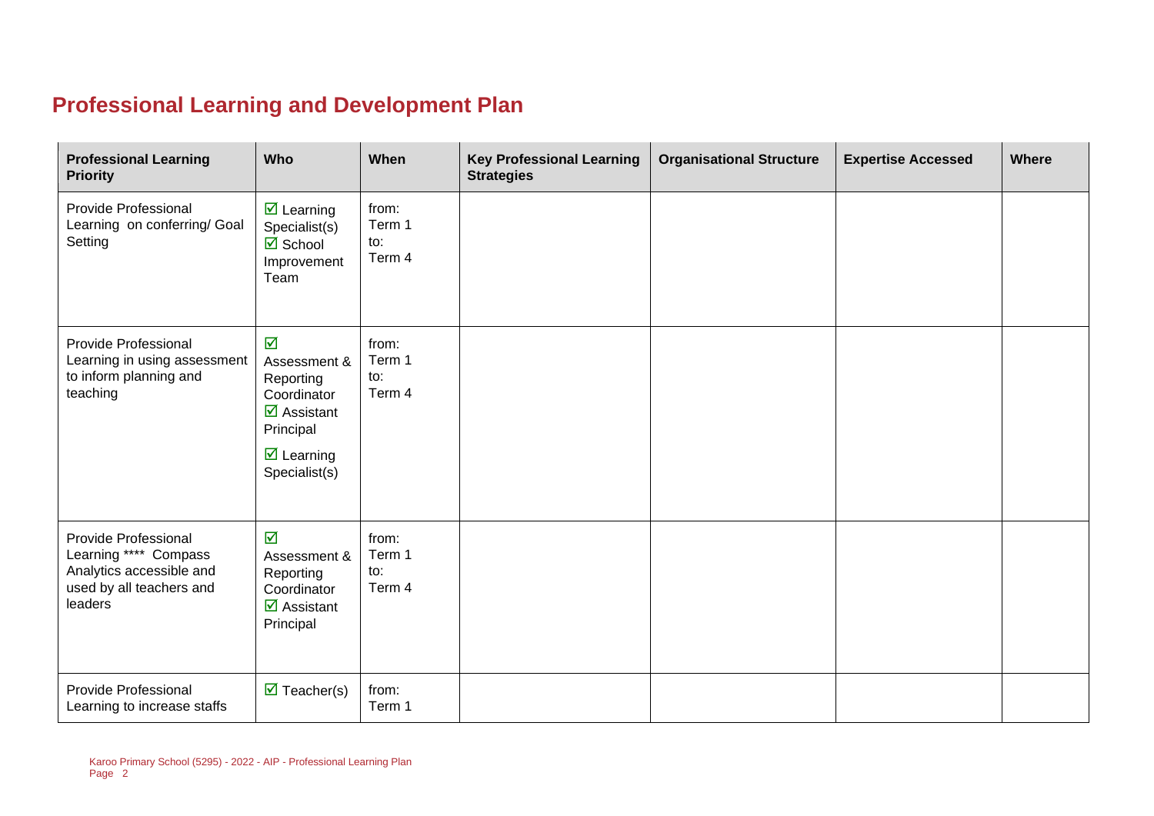# **Professional Learning and Development Plan**

| <b>Professional Learning</b><br><b>Priority</b>                                                                  | Who                                                                                                                                                              | When                             | <b>Key Professional Learning</b><br><b>Strategies</b> | <b>Organisational Structure</b> | <b>Expertise Accessed</b> | <b>Where</b> |
|------------------------------------------------------------------------------------------------------------------|------------------------------------------------------------------------------------------------------------------------------------------------------------------|----------------------------------|-------------------------------------------------------|---------------------------------|---------------------------|--------------|
| Provide Professional<br>Learning on conferring/ Goal<br>Setting                                                  | $\triangleright$ Learning<br>Specialist(s)<br><b>Ø</b> School<br>Improvement<br>Team                                                                             | from:<br>Term 1<br>to:<br>Term 4 |                                                       |                                 |                           |              |
| Provide Professional<br>Learning in using assessment<br>to inform planning and<br>teaching                       | $\blacktriangledown$<br>Assessment &<br>Reporting<br>Coordinator<br>$\overline{\mathbf{z}}$ Assistant<br>Principal<br>$\triangleright$ Learning<br>Specialist(s) | from:<br>Term 1<br>to:<br>Term 4 |                                                       |                                 |                           |              |
| Provide Professional<br>Learning **** Compass<br>Analytics accessible and<br>used by all teachers and<br>leaders | ☑<br>Assessment &<br>Reporting<br>Coordinator<br>$\overline{\mathbf{z}}$ Assistant<br>Principal                                                                  | from:<br>Term 1<br>to:<br>Term 4 |                                                       |                                 |                           |              |
| Provide Professional<br>Learning to increase staffs                                                              | $\overline{\mathbf{M}}$ Teacher(s)                                                                                                                               | from:<br>Term 1                  |                                                       |                                 |                           |              |